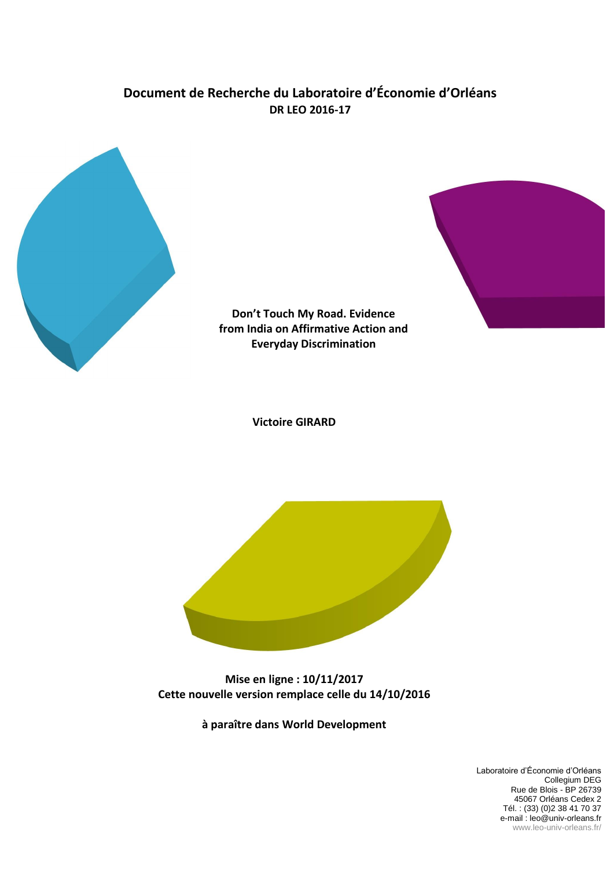# **Document de Recherche du Laboratoire d'Économie d'Orléans DR LEO 2016-17**



**Don't Touch My Road. Evidence from India on Affirmative Action and Everyday Discrimination**



**Victoire GIRARD**



**Mise en ligne : 10/11/2017 Cette nouvelle version remplace celle du 14/10/2016**

**à paraître dans World Development**

Laboratoire d'Économie d'Orléans Collegium DEG Rue de Blois - BP 26739 45067 Orléans Cedex 2 Tél. : (33) (0)2 38 41 70 37 e-mail : leo@univ-orleans.fr www.leo-univ-orleans.fr/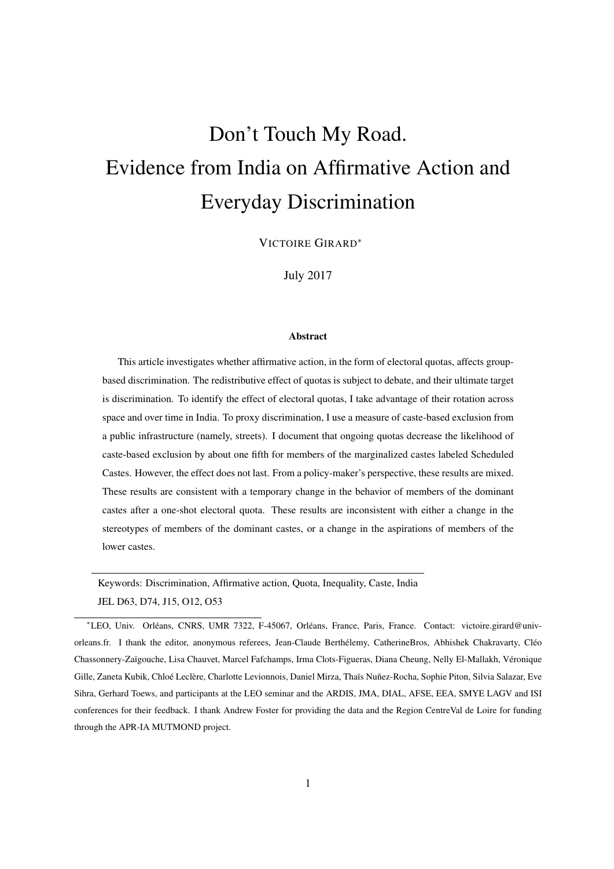# Don't Touch My Road. Evidence from India on Affirmative Action and Everyday Discrimination

VICTOIRE GIRARD<sup>∗</sup>

July 2017

#### Abstract

This article investigates whether affirmative action, in the form of electoral quotas, affects groupbased discrimination. The redistributive effect of quotas is subject to debate, and their ultimate target is discrimination. To identify the effect of electoral quotas, I take advantage of their rotation across space and over time in India. To proxy discrimination, I use a measure of caste-based exclusion from a public infrastructure (namely, streets). I document that ongoing quotas decrease the likelihood of caste-based exclusion by about one fifth for members of the marginalized castes labeled Scheduled Castes. However, the effect does not last. From a policy-maker's perspective, these results are mixed. These results are consistent with a temporary change in the behavior of members of the dominant castes after a one-shot electoral quota. These results are inconsistent with either a change in the stereotypes of members of the dominant castes, or a change in the aspirations of members of the lower castes.

Keywords: Discrimination, Affirmative action, Quota, Inequality, Caste, India JEL D63, D74, J15, O12, O53

<sup>∗</sup>LEO, Univ. Orléans, CNRS, UMR 7322, F-45067, Orléans, France, Paris, France. Contact: victoire.girard@univorleans.fr. I thank the editor, anonymous referees, Jean-Claude Berthélemy, CatherineBros, Abhishek Chakravarty, Cléo Chassonnery-Zaïgouche, Lisa Chauvet, Marcel Fafchamps, Irma Clots-Figueras, Diana Cheung, Nelly El-Mallakh, Véronique Gille, Zaneta Kubik, Chloé Leclère, Charlotte Levionnois, Daniel Mirza, Thaïs Nuñez-Rocha, Sophie Piton, Silvia Salazar, Eve Sihra, Gerhard Toews, and participants at the LEO seminar and the ARDIS, JMA, DIAL, AFSE, EEA, SMYE LAGV and ISI conferences for their feedback. I thank Andrew Foster for providing the data and the Region CentreVal de Loire for funding through the APR-IA MUTMOND project.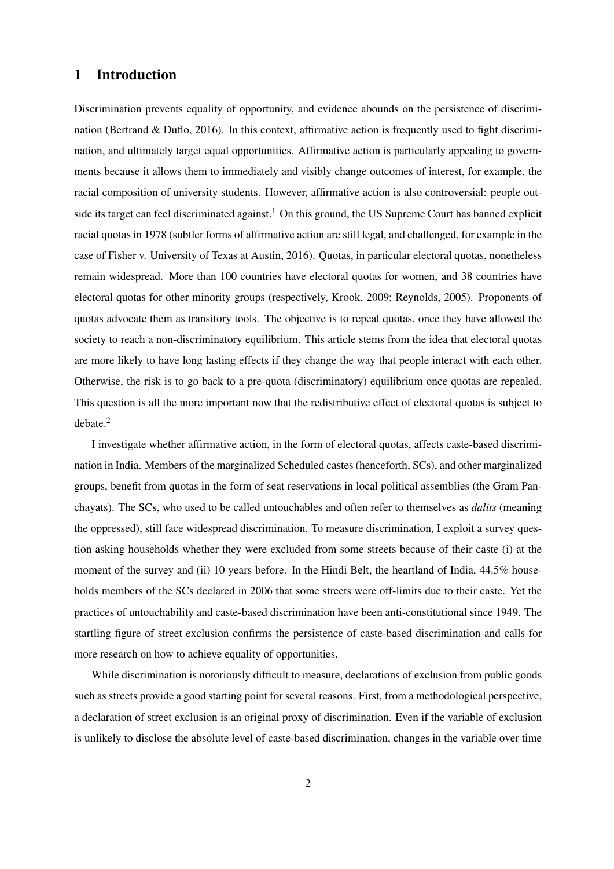# 1 Introduction

Discrimination prevents equality of opportunity, and evidence abounds on the persistence of discrimination (Bertrand  $& Duflo, 2016$ ). In this context, affirmative action is frequently used to fight discrimination, and ultimately target equal opportunities. Affirmative action is particularly appealing to governments because it allows them to immediately and visibly change outcomes of interest, for example, the racial composition of university students. However, affirmative action is also controversial: people outside its target can feel discriminated against.<sup>1</sup> On this ground, the US Supreme Court has banned explicit racial quotas in 1978 (subtler forms of affirmative action are still legal, and challenged, for example in the case of [Fisher v. University of Texas at Austin, 2016\)](#page-29-0). Quotas, in particular electoral quotas, nonetheless remain widespread. More than 100 countries have electoral quotas for women, and 38 countries have electoral quotas for other minority groups (respectively, [Krook, 2009;](#page-30-0) [Reynolds, 2005\)](#page-31-0). Proponents of quotas advocate them as transitory tools. The objective is to repeal quotas, once they have allowed the society to reach a non-discriminatory equilibrium. This article stems from the idea that electoral quotas are more likely to have long lasting effects if they change the way that people interact with each other. Otherwise, the risk is to go back to a pre-quota (discriminatory) equilibrium once quotas are repealed. This question is all the more important now that the redistributive effect of electoral quotas is subject to debate.<sup>2</sup>

I investigate whether affirmative action, in the form of electoral quotas, affects caste-based discrimination in India. Members of the marginalized Scheduled castes (henceforth, SCs), and other marginalized groups, benefit from quotas in the form of seat reservations in local political assemblies (the Gram Panchayats). The SCs, who used to be called untouchables and often refer to themselves as *dalits* (meaning the oppressed), still face widespread discrimination. To measure discrimination, I exploit a survey question asking households whether they were excluded from some streets because of their caste (i) at the moment of the survey and (ii) 10 years before. In the Hindi Belt, the heartland of India, 44.5% households members of the SCs declared in 2006 that some streets were off-limits due to their caste. Yet the practices of untouchability and caste-based discrimination have been anti-constitutional since 1949. The startling figure of street exclusion confirms the persistence of caste-based discrimination and calls for more research on how to achieve equality of opportunities.

While discrimination is notoriously difficult to measure, declarations of exclusion from public goods such as streets provide a good starting point for several reasons. First, from a methodological perspective, a declaration of street exclusion is an original proxy of discrimination. Even if the variable of exclusion is unlikely to disclose the absolute level of caste-based discrimination, changes in the variable over time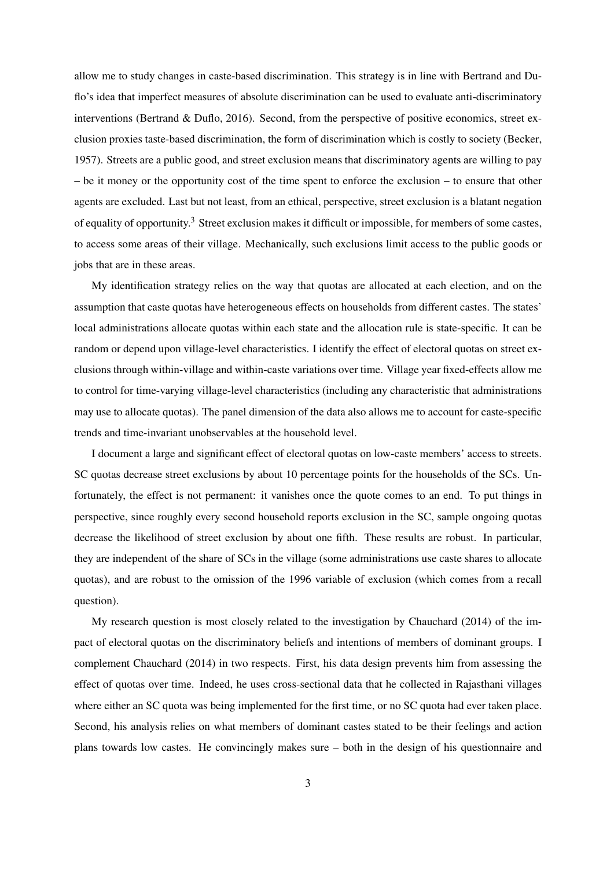allow me to study changes in caste-based discrimination. This strategy is in line with [Bertrand and Du](#page-27-0)[flo'](#page-27-0)s idea that imperfect measures of absolute discrimination can be used to evaluate anti-discriminatory interventions [\(Bertrand & Duflo, 2016\)](#page-27-0). Second, from the perspective of positive economics, street exclusion proxies taste-based discrimination, the form of discrimination which is costly to society [\(Becker,](#page-27-1) [1957\)](#page-27-1). Streets are a public good, and street exclusion means that discriminatory agents are willing to pay – be it money or the opportunity cost of the time spent to enforce the exclusion – to ensure that other agents are excluded. Last but not least, from an ethical, perspective, street exclusion is a blatant negation of equality of opportunity.<sup>3</sup> Street exclusion makes it difficult or impossible, for members of some castes, to access some areas of their village. Mechanically, such exclusions limit access to the public goods or jobs that are in these areas.

My identification strategy relies on the way that quotas are allocated at each election, and on the assumption that caste quotas have heterogeneous effects on households from different castes. The states' local administrations allocate quotas within each state and the allocation rule is state-specific. It can be random or depend upon village-level characteristics. I identify the effect of electoral quotas on street exclusions through within-village and within-caste variations over time. Village year fixed-effects allow me to control for time-varying village-level characteristics (including any characteristic that administrations may use to allocate quotas). The panel dimension of the data also allows me to account for caste-specific trends and time-invariant unobservables at the household level.

I document a large and significant effect of electoral quotas on low-caste members' access to streets. SC quotas decrease street exclusions by about 10 percentage points for the households of the SCs. Unfortunately, the effect is not permanent: it vanishes once the quote comes to an end. To put things in perspective, since roughly every second household reports exclusion in the SC, sample ongoing quotas decrease the likelihood of street exclusion by about one fifth. These results are robust. In particular, they are independent of the share of SCs in the village (some administrations use caste shares to allocate quotas), and are robust to the omission of the 1996 variable of exclusion (which comes from a recall question).

My research question is most closely related to the investigation by [Chauchard](#page-28-0) [\(2014\)](#page-28-0) of the impact of electoral quotas on the discriminatory beliefs and intentions of members of dominant groups. I complement [Chauchard](#page-28-0) [\(2014\)](#page-28-0) in two respects. First, his data design prevents him from assessing the effect of quotas over time. Indeed, he uses cross-sectional data that he collected in Rajasthani villages where either an SC quota was being implemented for the first time, or no SC quota had ever taken place. Second, his analysis relies on what members of dominant castes stated to be their feelings and action plans towards low castes. He convincingly makes sure – both in the design of his questionnaire and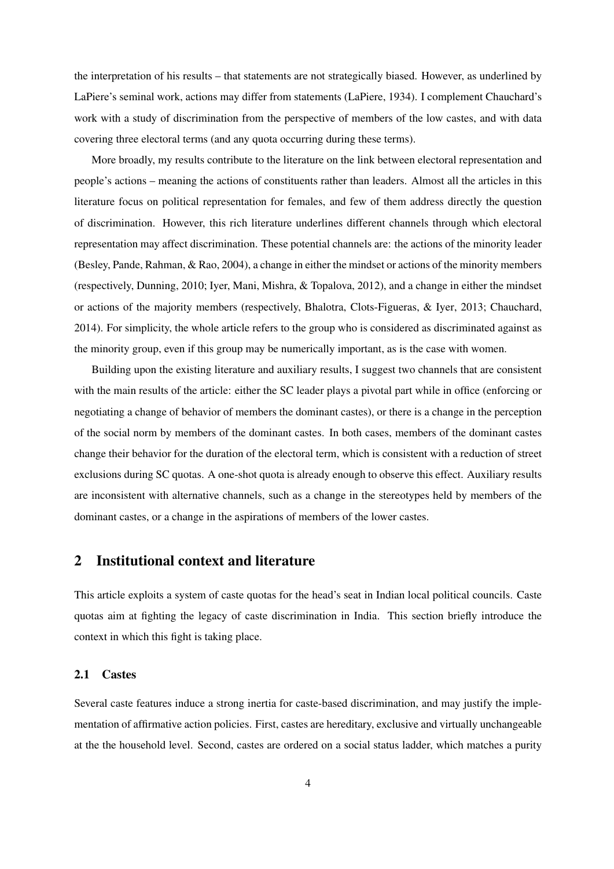the interpretation of his results – that statements are not strategically biased. However, as underlined by [LaPiere'](#page-30-1)s seminal work, actions may differ from statements [\(LaPiere, 1934\)](#page-30-1). I complement Chauchard's work with a study of discrimination from the perspective of members of the low castes, and with data covering three electoral terms (and any quota occurring during these terms).

More broadly, my results contribute to the literature on the link between electoral representation and people's actions – meaning the actions of constituents rather than leaders. Almost all the articles in this literature focus on political representation for females, and few of them address directly the question of discrimination. However, this rich literature underlines different channels through which electoral representation may affect discrimination. These potential channels are: the actions of the minority leader [\(Besley, Pande, Rahman, & Rao, 2004\)](#page-27-2), a change in either the mindset or actions of the minority members (respectively, [Dunning, 2010;](#page-29-1) [Iyer, Mani, Mishra, & Topalova, 2012\)](#page-29-2), and a change in either the mindset or actions of the majority members (respectively, [Bhalotra, Clots-Figueras, & Iyer, 2013;](#page-27-3) [Chauchard,](#page-28-0) [2014\)](#page-28-0). For simplicity, the whole article refers to the group who is considered as discriminated against as the minority group, even if this group may be numerically important, as is the case with women.

Building upon the existing literature and auxiliary results, I suggest two channels that are consistent with the main results of the article: either the SC leader plays a pivotal part while in office (enforcing or negotiating a change of behavior of members the dominant castes), or there is a change in the perception of the social norm by members of the dominant castes. In both cases, members of the dominant castes change their behavior for the duration of the electoral term, which is consistent with a reduction of street exclusions during SC quotas. A one-shot quota is already enough to observe this effect. Auxiliary results are inconsistent with alternative channels, such as a change in the stereotypes held by members of the dominant castes, or a change in the aspirations of members of the lower castes.

# 2 Institutional context and literature

This article exploits a system of caste quotas for the head's seat in Indian local political councils. Caste quotas aim at fighting the legacy of caste discrimination in India. This section briefly introduce the context in which this fight is taking place.

#### 2.1 Castes

Several caste features induce a strong inertia for caste-based discrimination, and may justify the implementation of affirmative action policies. First, castes are hereditary, exclusive and virtually unchangeable at the the household level. Second, castes are ordered on a social status ladder, which matches a purity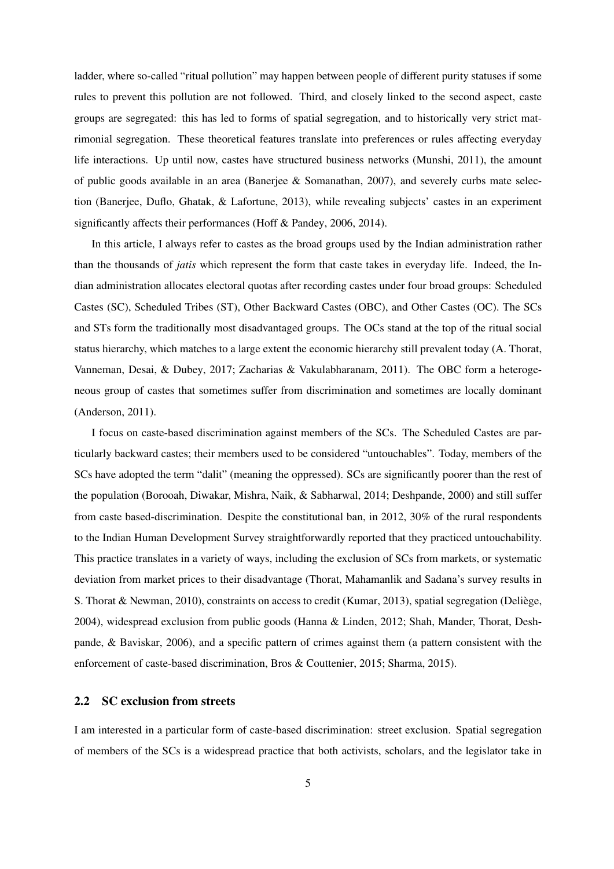ladder, where so-called "ritual pollution" may happen between people of different purity statuses if some rules to prevent this pollution are not followed. Third, and closely linked to the second aspect, caste groups are segregated: this has led to forms of spatial segregation, and to historically very strict matrimonial segregation. These theoretical features translate into preferences or rules affecting everyday life interactions. Up until now, castes have structured business networks [\(Munshi, 2011\)](#page-30-2), the amount of public goods available in an area [\(Banerjee & Somanathan, 2007\)](#page-27-4), and severely curbs mate selection [\(Banerjee, Duflo, Ghatak, & Lafortune, 2013\)](#page-26-0), while revealing subjects' castes in an experiment significantly affects their performances [\(Hoff & Pandey, 2006,](#page-29-3) [2014\)](#page-29-4).

In this article, I always refer to castes as the broad groups used by the Indian administration rather than the thousands of *jatis* which represent the form that caste takes in everyday life. Indeed, the Indian administration allocates electoral quotas after recording castes under four broad groups: Scheduled Castes (SC), Scheduled Tribes (ST), Other Backward Castes (OBC), and Other Castes (OC). The SCs and STs form the traditionally most disadvantaged groups. The OCs stand at the top of the ritual social status hierarchy, which matches to a large extent the economic hierarchy still prevalent today [\(A. Thorat,](#page-31-1) [Vanneman, Desai, & Dubey, 2017;](#page-31-1) [Zacharias & Vakulabharanam, 2011\)](#page-31-2). The OBC form a heterogeneous group of castes that sometimes suffer from discrimination and sometimes are locally dominant [\(Anderson, 2011\)](#page-26-1).

I focus on caste-based discrimination against members of the SCs. The Scheduled Castes are particularly backward castes; their members used to be considered "untouchables". Today, members of the SCs have adopted the term "dalit" (meaning the oppressed). SCs are significantly poorer than the rest of the population [\(Borooah, Diwakar, Mishra, Naik, & Sabharwal, 2014;](#page-27-5) [Deshpande, 2000\)](#page-28-1) and still suffer from caste based-discrimination. Despite the constitutional ban, in 2012, 30% of the rural respondents to the Indian Human Development Survey straightforwardly reported that they practiced untouchability. This practice translates in a variety of ways, including the exclusion of SCs from markets, or systematic deviation from market prices to their disadvantage (Thorat, Mahamanlik and Sadana's survey results in [S. Thorat & Newman, 2010\)](#page-31-3), constraints on access to credit [\(Kumar, 2013\)](#page-30-3), spatial segregation [\(Deliège,](#page-28-2) [2004\)](#page-28-2), widespread exclusion from public goods [\(Hanna & Linden, 2012;](#page-29-5) [Shah, Mander, Thorat, Desh](#page-31-4)[pande, & Baviskar, 2006\)](#page-31-4), and a specific pattern of crimes against them (a pattern consistent with the enforcement of caste-based discrimination, [Bros & Couttenier, 2015;](#page-28-3) [Sharma, 2015\)](#page-31-5).

#### 2.2 SC exclusion from streets

I am interested in a particular form of caste-based discrimination: street exclusion. Spatial segregation of members of the SCs is a widespread practice that both activists, scholars, and the legislator take in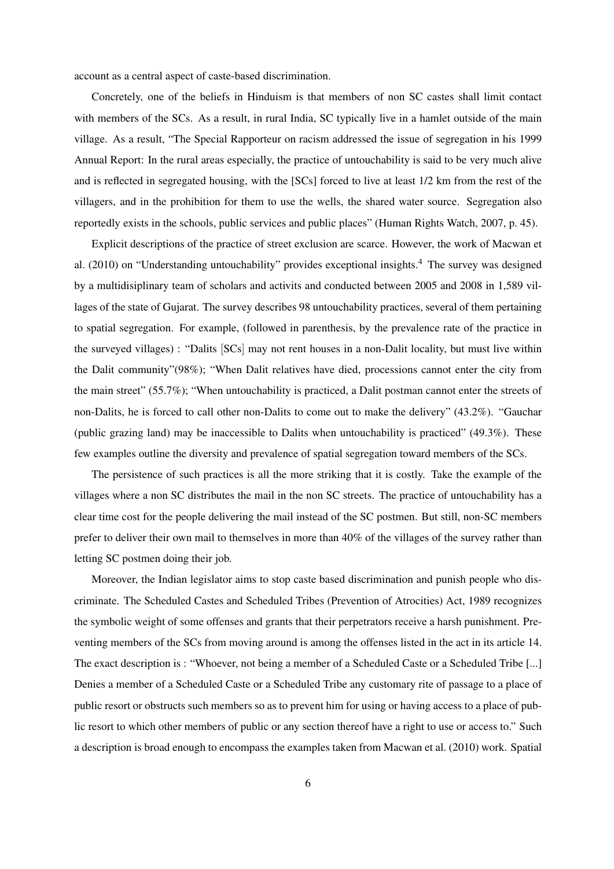account as a central aspect of caste-based discrimination.

Concretely, one of the beliefs in Hinduism is that members of non SC castes shall limit contact with members of the SCs. As a result, in rural India, SC typically live in a hamlet outside of the main village. As a result, "The Special Rapporteur on racism addressed the issue of segregation in his 1999 Annual Report: In the rural areas especially, the practice of untouchability is said to be very much alive and is reflected in segregated housing, with the [SCs] forced to live at least 1/2 km from the rest of the villagers, and in the prohibition for them to use the wells, the shared water source. Segregation also reportedly exists in the schools, public services and public places" [\(Human Rights Watch, 2007,](#page-29-6) p. 45).

Explicit descriptions of the practice of street exclusion are scarce. However, the work of [Macwan et](#page-30-4) [al.](#page-30-4) [\(2010\)](#page-30-4) on "Understanding untouchability" provides exceptional insights.<sup>4</sup> The survey was designed by a multidisiplinary team of scholars and activits and conducted between 2005 and 2008 in 1,589 villages of the state of Gujarat. The survey describes 98 untouchability practices, several of them pertaining to spatial segregation. For example, (followed in parenthesis, by the prevalence rate of the practice in the surveyed villages) : "Dalits [SCs] may not rent houses in a non-Dalit locality, but must live within the Dalit community"(98%); "When Dalit relatives have died, processions cannot enter the city from the main street" (55.7%); "When untouchability is practiced, a Dalit postman cannot enter the streets of non-Dalits, he is forced to call other non-Dalits to come out to make the delivery" (43.2%). "Gauchar (public grazing land) may be inaccessible to Dalits when untouchability is practiced" (49.3%). These few examples outline the diversity and prevalence of spatial segregation toward members of the SCs.

The persistence of such practices is all the more striking that it is costly. Take the example of the villages where a non SC distributes the mail in the non SC streets. The practice of untouchability has a clear time cost for the people delivering the mail instead of the SC postmen. But still, non-SC members prefer to deliver their own mail to themselves in more than 40% of the villages of the survey rather than letting SC postmen doing their job.

Moreover, the Indian legislator aims to stop caste based discrimination and punish people who discriminate. The Scheduled Castes and Scheduled Tribes (Prevention of Atrocities) Act, 1989 recognizes the symbolic weight of some offenses and grants that their perpetrators receive a harsh punishment. Preventing members of the SCs from moving around is among the offenses listed in the act in its article 14. The exact description is : "Whoever, not being a member of a Scheduled Caste or a Scheduled Tribe [...] Denies a member of a Scheduled Caste or a Scheduled Tribe any customary rite of passage to a place of public resort or obstructs such members so as to prevent him for using or having access to a place of public resort to which other members of public or any section thereof have a right to use or access to." Such a description is broad enough to encompass the examples taken from [Macwan et al.](#page-30-4) [\(2010\)](#page-30-4) work. Spatial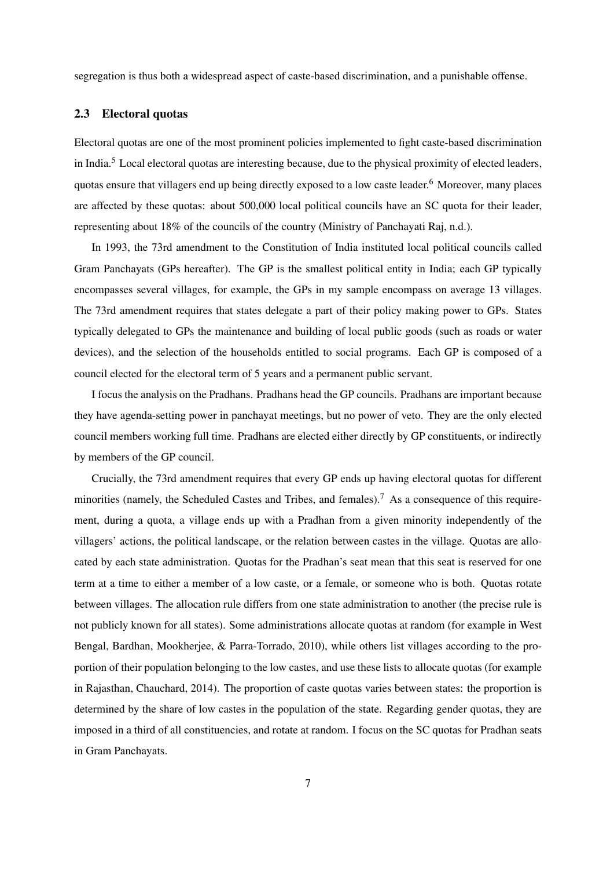segregation is thus both a widespread aspect of caste-based discrimination, and a punishable offense.

## 2.3 Electoral quotas

Electoral quotas are one of the most prominent policies implemented to fight caste-based discrimination in India.<sup>5</sup> Local electoral quotas are interesting because, due to the physical proximity of elected leaders, quotas ensure that villagers end up being directly exposed to a low caste leader.<sup>6</sup> Moreover, many places are affected by these quotas: about 500,000 local political councils have an SC quota for their leader, representing about 18% of the councils of the country [\(Ministry of Panchayati Raj, n.d.\)](#page-30-5).

In 1993, the 73rd amendment to the Constitution of India instituted local political councils called Gram Panchayats (GPs hereafter). The GP is the smallest political entity in India; each GP typically encompasses several villages, for example, the GPs in my sample encompass on average 13 villages. The 73rd amendment requires that states delegate a part of their policy making power to GPs. States typically delegated to GPs the maintenance and building of local public goods (such as roads or water devices), and the selection of the households entitled to social programs. Each GP is composed of a council elected for the electoral term of 5 years and a permanent public servant.

I focus the analysis on the Pradhans. Pradhans head the GP councils. Pradhans are important because they have agenda-setting power in panchayat meetings, but no power of veto. They are the only elected council members working full time. Pradhans are elected either directly by GP constituents, or indirectly by members of the GP council.

Crucially, the 73rd amendment requires that every GP ends up having electoral quotas for different minorities (namely, the Scheduled Castes and Tribes, and females).<sup>7</sup> As a consequence of this requirement, during a quota, a village ends up with a Pradhan from a given minority independently of the villagers' actions, the political landscape, or the relation between castes in the village. Quotas are allocated by each state administration. Quotas for the Pradhan's seat mean that this seat is reserved for one term at a time to either a member of a low caste, or a female, or someone who is both. Quotas rotate between villages. The allocation rule differs from one state administration to another (the precise rule is not publicly known for all states). Some administrations allocate quotas at random (for example in West Bengal, [Bardhan, Mookherjee, & Parra-Torrado, 2010\)](#page-27-6), while others list villages according to the proportion of their population belonging to the low castes, and use these lists to allocate quotas (for example in Rajasthan, [Chauchard, 2014\)](#page-28-0). The proportion of caste quotas varies between states: the proportion is determined by the share of low castes in the population of the state. Regarding gender quotas, they are imposed in a third of all constituencies, and rotate at random. I focus on the SC quotas for Pradhan seats in Gram Panchayats.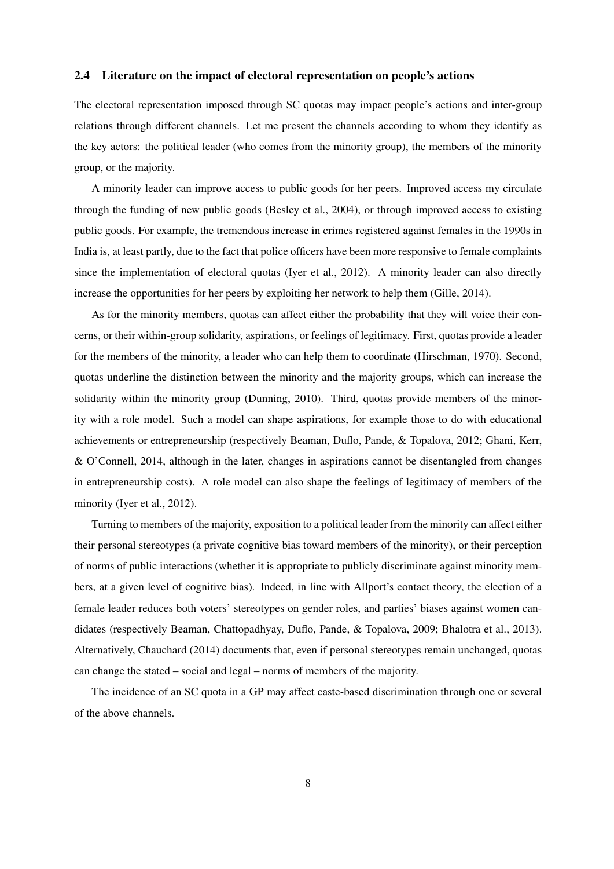## <span id="page-8-0"></span>2.4 Literature on the impact of electoral representation on people's actions

The electoral representation imposed through SC quotas may impact people's actions and inter-group relations through different channels. Let me present the channels according to whom they identify as the key actors: the political leader (who comes from the minority group), the members of the minority group, or the majority.

A minority leader can improve access to public goods for her peers. Improved access my circulate through the funding of new public goods [\(Besley et al., 2004\)](#page-27-2), or through improved access to existing public goods. For example, the tremendous increase in crimes registered against females in the 1990s in India is, at least partly, due to the fact that police officers have been more responsive to female complaints since the implementation of electoral quotas [\(Iyer et al., 2012\)](#page-29-2). A minority leader can also directly increase the opportunities for her peers by exploiting her network to help them [\(Gille, 2014\)](#page-29-7).

As for the minority members, quotas can affect either the probability that they will voice their concerns, or their within-group solidarity, aspirations, or feelings of legitimacy. First, quotas provide a leader for the members of the minority, a leader who can help them to coordinate [\(Hirschman, 1970\)](#page-29-8). Second, quotas underline the distinction between the minority and the majority groups, which can increase the solidarity within the minority group [\(Dunning, 2010\)](#page-29-1). Third, quotas provide members of the minority with a role model. Such a model can shape aspirations, for example those to do with educational achievements or entrepreneurship (respectively [Beaman, Duflo, Pande, & Topalova, 2012;](#page-27-7) [Ghani, Kerr,](#page-29-9) [& O'Connell, 2014,](#page-29-9) although in the later, changes in aspirations cannot be disentangled from changes in entrepreneurship costs). A role model can also shape the feelings of legitimacy of members of the minority [\(Iyer et al., 2012\)](#page-29-2).

Turning to members of the majority, exposition to a political leader from the minority can affect either their personal stereotypes (a private cognitive bias toward members of the minority), or their perception of norms of public interactions (whether it is appropriate to publicly discriminate against minority members, at a given level of cognitive bias). Indeed, in line with [Allport'](#page-26-2)s contact theory, the election of a female leader reduces both voters' stereotypes on gender roles, and parties' biases against women candidates (respectively [Beaman, Chattopadhyay, Duflo, Pande, & Topalova, 2009;](#page-27-8) [Bhalotra et al., 2013\)](#page-27-3). Alternatively, [Chauchard](#page-28-0) [\(2014\)](#page-28-0) documents that, even if personal stereotypes remain unchanged, quotas can change the stated – social and legal – norms of members of the majority.

The incidence of an SC quota in a GP may affect caste-based discrimination through one or several of the above channels.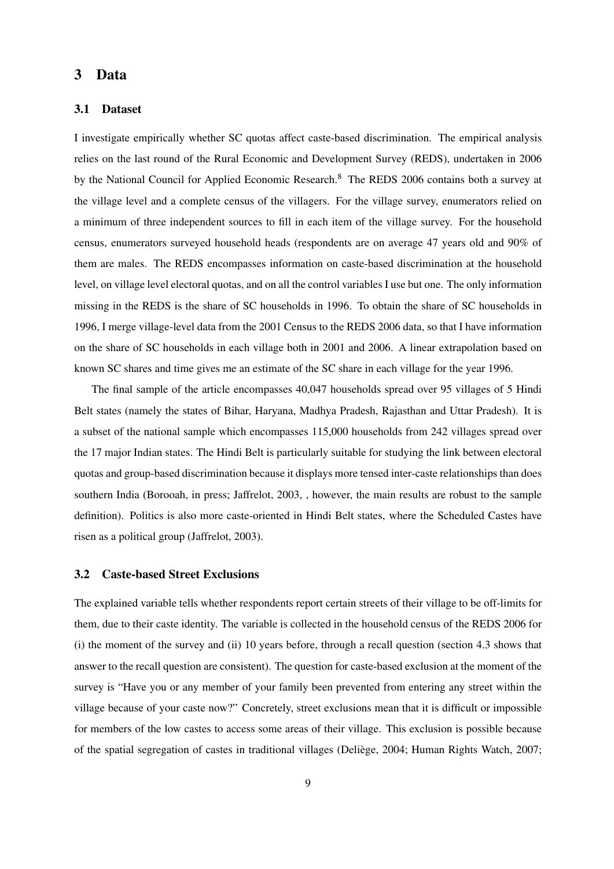## 3 Data

## 3.1 Dataset

I investigate empirically whether SC quotas affect caste-based discrimination. The empirical analysis relies on the last round of the Rural Economic and Development Survey (REDS), undertaken in 2006 by the National Council for Applied Economic Research.<sup>8</sup> The REDS 2006 contains both a survey at the village level and a complete census of the villagers. For the village survey, enumerators relied on a minimum of three independent sources to fill in each item of the village survey. For the household census, enumerators surveyed household heads (respondents are on average 47 years old and 90% of them are males. The REDS encompasses information on caste-based discrimination at the household level, on village level electoral quotas, and on all the control variables I use but one. The only information missing in the REDS is the share of SC households in 1996. To obtain the share of SC households in 1996, I merge village-level data from the 2001 Census to the REDS 2006 data, so that I have information on the share of SC households in each village both in 2001 and 2006. A linear extrapolation based on known SC shares and time gives me an estimate of the SC share in each village for the year 1996.

The final sample of the article encompasses 40,047 households spread over 95 villages of 5 Hindi Belt states (namely the states of Bihar, Haryana, Madhya Pradesh, Rajasthan and Uttar Pradesh). It is a subset of the national sample which encompasses 115,000 households from 242 villages spread over the 17 major Indian states. The Hindi Belt is particularly suitable for studying the link between electoral quotas and group-based discrimination because it displays more tensed inter-caste relationships than does southern India [\(Borooah, in press;](#page-27-9) [Jaffrelot, 2003,](#page-30-6) , however, the main results are robust to the sample definition). Politics is also more caste-oriented in Hindi Belt states, where the Scheduled Castes have risen as a political group [\(Jaffrelot, 2003\)](#page-30-6).

## 3.2 Caste-based Street Exclusions

The explained variable tells whether respondents report certain streets of their village to be off-limits for them, due to their caste identity. The variable is collected in the household census of the REDS 2006 for (i) the moment of the survey and (ii) 10 years before, through a recall question (section [4.3](#page-18-0) shows that answer to the recall question are consistent). The question for caste-based exclusion at the moment of the survey is "Have you or any member of your family been prevented from entering any street within the village because of your caste now?" Concretely, street exclusions mean that it is difficult or impossible for members of the low castes to access some areas of their village. This exclusion is possible because of the spatial segregation of castes in traditional villages [\(Deliège, 2004;](#page-28-2) [Human Rights Watch, 2007;](#page-29-6)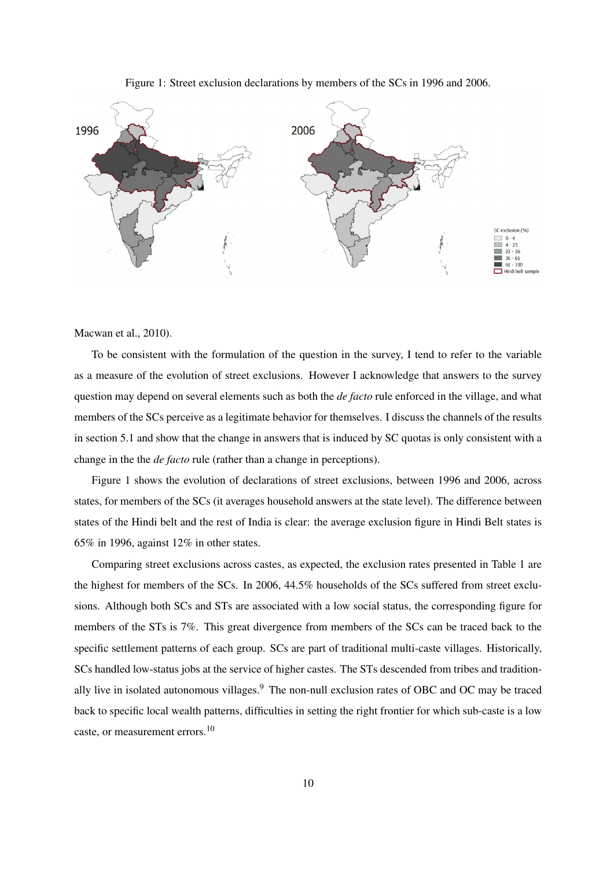Figure 1: Street exclusion declarations by members of the SCs in 1996 and 2006.

<span id="page-10-0"></span>

[Macwan et al., 2010\)](#page-30-4).

To be consistent with the formulation of the question in the survey, I tend to refer to the variable as a measure of the evolution of street exclusions. However I acknowledge that answers to the survey question may depend on several elements such as both the *de facto* rule enforced in the village, and what members of the SCs perceive as a legitimate behavior for themselves. I discuss the channels of the results in section 5.1 and show that the change in answers that is induced by SC quotas is only consistent with a change in the the *de facto* rule (rather than a change in perceptions).

Figure [1](#page-10-0) shows the evolution of declarations of street exclusions, between 1996 and 2006, across states, for members of the SCs (it averages household answers at the state level). The difference between states of the Hindi belt and the rest of India is clear: the average exclusion figure in Hindi Belt states is 65% in 1996, against 12% in other states.

Comparing street exclusions across castes, as expected, the exclusion rates presented in Table [1](#page-11-0) are the highest for members of the SCs. In 2006, 44.5% households of the SCs suffered from street exclusions. Although both SCs and STs are associated with a low social status, the corresponding figure for members of the STs is 7%. This great divergence from members of the SCs can be traced back to the specific settlement patterns of each group. SCs are part of traditional multi-caste villages. Historically, SCs handled low-status jobs at the service of higher castes. The STs descended from tribes and traditionally live in isolated autonomous villages.<sup>9</sup> The non-null exclusion rates of OBC and OC may be traced back to specific local wealth patterns, difficulties in setting the right frontier for which sub-caste is a low caste, or measurement errors.<sup>10</sup>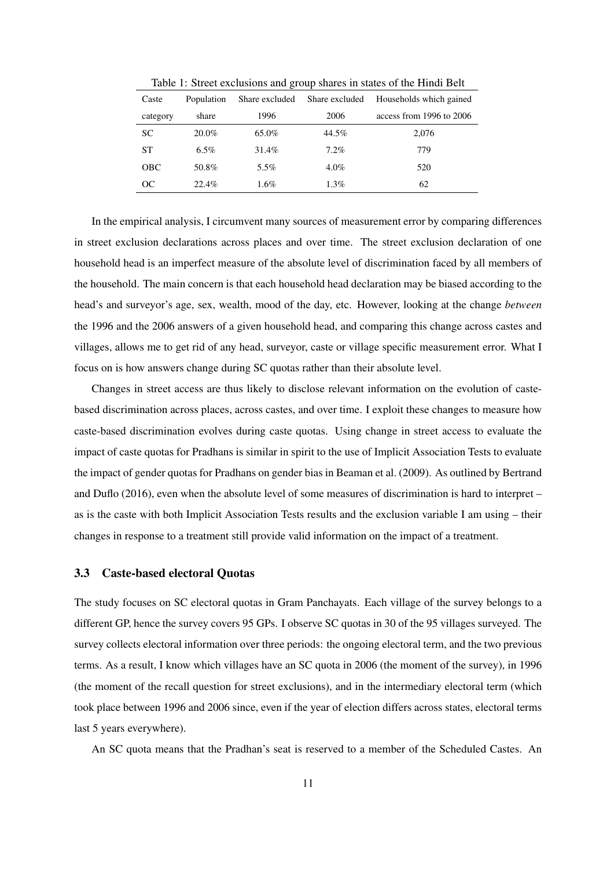<span id="page-11-0"></span>

| Caste      | Population | Share excluded | Share excluded | Households which gained  |
|------------|------------|----------------|----------------|--------------------------|
| category   | share      | 1996           | 2006           | access from 1996 to 2006 |
| <b>SC</b>  | $20.0\%$   | 65.0%          | 44.5%          | 2,076                    |
| <b>ST</b>  | $6.5\%$    | 31.4%          | $7.2\%$        | 779                      |
| <b>OBC</b> | 50.8%      | 5.5%           | 4.0%           | 520                      |
| OС         | 22.4%      | $1.6\%$        | 1.3%           | 62                       |

Table 1: Street exclusions and group shares in states of the Hindi Belt

In the empirical analysis, I circumvent many sources of measurement error by comparing differences in street exclusion declarations across places and over time. The street exclusion declaration of one household head is an imperfect measure of the absolute level of discrimination faced by all members of the household. The main concern is that each household head declaration may be biased according to the head's and surveyor's age, sex, wealth, mood of the day, etc. However, looking at the change *between* the 1996 and the 2006 answers of a given household head, and comparing this change across castes and villages, allows me to get rid of any head, surveyor, caste or village specific measurement error. What I focus on is how answers change during SC quotas rather than their absolute level.

Changes in street access are thus likely to disclose relevant information on the evolution of caste-

based discrimination across places, across castes, and over time. I exploit these changes to measure how

caste-based discrimination evolves during caste quotas. Using change in street access to evaluate the impact of caste quotas for Pradhans is similar in spirit to the use of Implicit Association Tests to evaluate

the impact of gender quotas for Pradhans on gender bias in [Beaman et al.](#page-27-8) [\(2009\)](#page-27-8). As outlined by [Bertrand](#page-27-0)

[and Duflo](#page-27-0) [\(2016\)](#page-27-0), even when the absolute level of some measures of discrimination is hard to interpret –

as is the caste with both Implicit Association Tests results and the exclusion variable I am using – their

# changes in response to a treatment still provide valid information on the impact of a treatment.

3.3 Caste-based electoral Quotas

last 5 years everywhere).

The study focuses on SC electoral quotas in Gram Panchayats. Each village of the survey belongs to a different GP, hence the survey covers 95 GPs. I observe SC quotas in 30 of the 95 villages surveyed. The survey collects electoral information over three periods: the ongoing electoral term, and the two previous terms. As a result, I know which villages have an SC quota in 2006 (the moment of the survey), in 1996 (the moment of the recall question for street exclusions), and in the intermediary electoral term (which

An SC quota means that the Pradhan's seat is reserved to a member of the Scheduled Castes. An

took place between 1996 and 2006 since, even if the year of election differs across states, electoral terms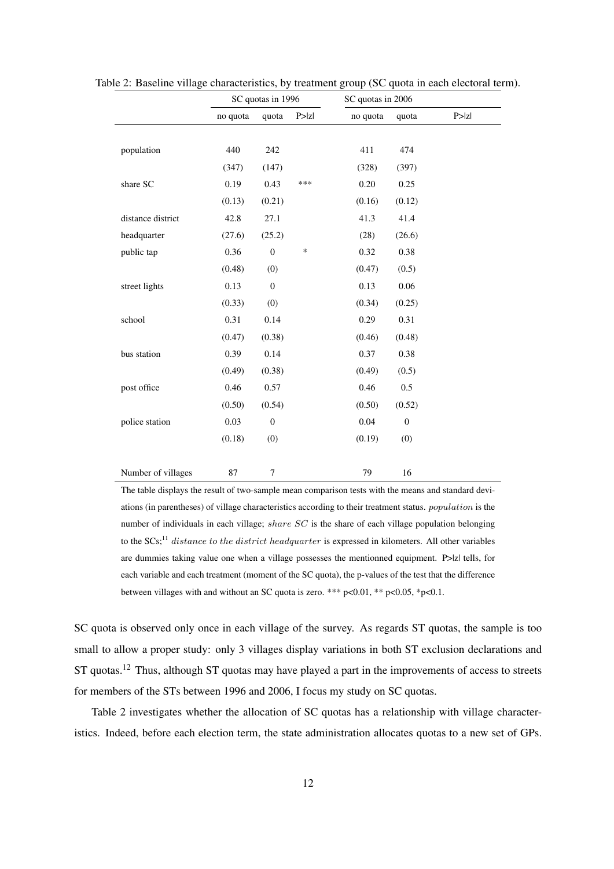|                    | SC quotas in 1996 |                  |        | SC quotas in 2006 |                  |        |
|--------------------|-------------------|------------------|--------|-------------------|------------------|--------|
|                    | no quota          | quota            | P >  Z | no quota          | quota            | P >  Z |
|                    |                   |                  |        |                   |                  |        |
| population         | 440               | 242              |        | 411               | 474              |        |
|                    | (347)             | (147)            |        | (328)             | (397)            |        |
| share SC           | 0.19              | 0.43             | ***    | 0.20              | 0.25             |        |
|                    | (0.13)            | (0.21)           |        | (0.16)            | (0.12)           |        |
| distance district  | 42.8              | 27.1             |        | 41.3              | 41.4             |        |
| headquarter        | (27.6)            | (25.2)           |        | (28)              | (26.6)           |        |
| public tap         | 0.36              | $\boldsymbol{0}$ | $\ast$ | 0.32              | 0.38             |        |
|                    | (0.48)            | (0)              |        | (0.47)            | (0.5)            |        |
| street lights      | 0.13              | $\boldsymbol{0}$ |        | 0.13              | 0.06             |        |
|                    | (0.33)            | (0)              |        | (0.34)            | (0.25)           |        |
| school             | 0.31              | 0.14             |        | 0.29              | 0.31             |        |
|                    | (0.47)            | (0.38)           |        | (0.46)            | (0.48)           |        |
| bus station        | 0.39              | 0.14             |        | 0.37              | 0.38             |        |
|                    | (0.49)            | (0.38)           |        | (0.49)            | (0.5)            |        |
| post office        | 0.46              | 0.57             |        | 0.46              | 0.5              |        |
|                    | (0.50)            | (0.54)           |        | (0.50)            | (0.52)           |        |
| police station     | 0.03              | $\boldsymbol{0}$ |        | $0.04\,$          | $\boldsymbol{0}$ |        |
|                    | (0.18)            | (0)              |        | (0.19)            | (0)              |        |
|                    |                   |                  |        |                   |                  |        |
| Number of villages | 87                | $\boldsymbol{7}$ |        | 79                | 16               |        |

<span id="page-12-0"></span>Table 2: Baseline village characteristics, by treatment group (SC quota in each electoral term).

The table displays the result of two-sample mean comparison tests with the means and standard deviations (in parentheses) of village characteristics according to their treatment status. population is the number of individuals in each village; share SC is the share of each village population belonging to the SCs;<sup>11</sup> distance to the district headquarter is expressed in kilometers. All other variables are dummies taking value one when a village possesses the mentionned equipment. P>|z| tells, for each variable and each treatment (moment of the SC quota), the p-values of the test that the difference between villages with and without an SC quota is zero. \*\*\* p<0.01, \*\* p<0.05, \*p<0.1.

SC quota is observed only once in each village of the survey. As regards ST quotas, the sample is too small to allow a proper study: only 3 villages display variations in both ST exclusion declarations and ST quotas.<sup>12</sup> Thus, although ST quotas may have played a part in the improvements of access to streets for members of the STs between 1996 and 2006, I focus my study on SC quotas.

Table [2](#page-12-0) investigates whether the allocation of SC quotas has a relationship with village characteristics. Indeed, before each election term, the state administration allocates quotas to a new set of GPs.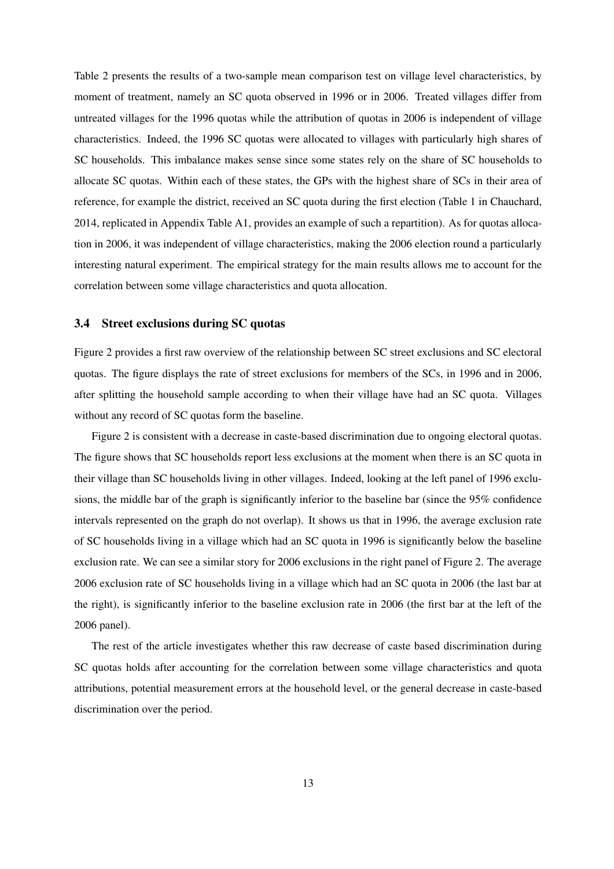Table [2](#page-12-0) presents the results of a two-sample mean comparison test on village level characteristics, by moment of treatment, namely an SC quota observed in 1996 or in 2006. Treated villages differ from untreated villages for the 1996 quotas while the attribution of quotas in 2006 is independent of village characteristics. Indeed, the 1996 SC quotas were allocated to villages with particularly high shares of SC households. This imbalance makes sense since some states rely on the share of SC households to allocate SC quotas. Within each of these states, the GPs with the highest share of SCs in their area of reference, for example the district, received an SC quota during the first election (Table 1 in [Chauchard,](#page-28-0) [2014,](#page-28-0) replicated in Appendix Table [A1,](#page-11-0) provides an example of such a repartition). As for quotas allocation in 2006, it was independent of village characteristics, making the 2006 election round a particularly interesting natural experiment. The empirical strategy for the main results allows me to account for the correlation between some village characteristics and quota allocation.

### 3.4 Street exclusions during SC quotas

Figure [2](#page-14-0) provides a first raw overview of the relationship between SC street exclusions and SC electoral quotas. The figure displays the rate of street exclusions for members of the SCs, in 1996 and in 2006, after splitting the household sample according to when their village have had an SC quota. Villages without any record of SC quotas form the baseline.

Figure [2](#page-14-0) is consistent with a decrease in caste-based discrimination due to ongoing electoral quotas. The figure shows that SC households report less exclusions at the moment when there is an SC quota in their village than SC households living in other villages. Indeed, looking at the left panel of 1996 exclusions, the middle bar of the graph is significantly inferior to the baseline bar (since the 95% confidence intervals represented on the graph do not overlap). It shows us that in 1996, the average exclusion rate of SC households living in a village which had an SC quota in 1996 is significantly below the baseline exclusion rate. We can see a similar story for 2006 exclusions in the right panel of Figure [2.](#page-14-0) The average 2006 exclusion rate of SC households living in a village which had an SC quota in 2006 (the last bar at the right), is significantly inferior to the baseline exclusion rate in 2006 (the first bar at the left of the 2006 panel).

The rest of the article investigates whether this raw decrease of caste based discrimination during SC quotas holds after accounting for the correlation between some village characteristics and quota attributions, potential measurement errors at the household level, or the general decrease in caste-based discrimination over the period.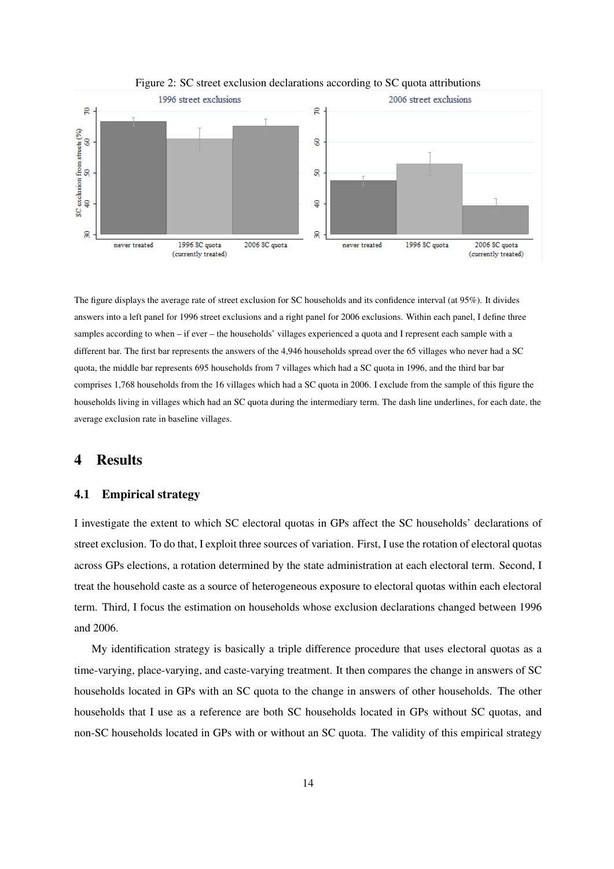<span id="page-14-0"></span>

#### Figure 2: SC street exclusion declarations according to SC quota attributions

The figure displays the average rate of street exclusion for SC households and its confidence interval (at 95%). It divides answers into a left panel for 1996 street exclusions and a right panel for 2006 exclusions. Within each panel, I define three samples according to when – if ever – the households' villages experienced a quota and I represent each sample with a different bar. The first bar represents the answers of the 4,946 households spread over the 65 villages who never had a SC quota, the middle bar represents 695 households from 7 villages which had a SC quota in 1996, and the third bar bar comprises 1,768 households from the 16 villages which had a SC quota in 2006. I exclude from the sample of this figure the households living in villages which had an SC quota during the intermediary term. The dash line underlines, for each date, the average exclusion rate in baseline villages.

# 4 Results

#### 4.1 Empirical strategy

I investigate the extent to which SC electoral quotas in GPs affect the SC households' declarations of street exclusion. To do that, I exploit three sources of variation. First, I use the rotation of electoral quotas across GPs elections, a rotation determined by the state administration at each electoral term. Second, I treat the household caste as a source of heterogeneous exposure to electoral quotas within each electoral term. Third, I focus the estimation on households whose exclusion declarations changed between 1996 and 2006.

My identification strategy is basically a triple difference procedure that uses electoral quotas as a time-varying, place-varying, and caste-varying treatment. It then compares the change in answers of SC households located in GPs with an SC quota to the change in answers of other households. The other households that I use as a reference are both SC households located in GPs without SC quotas, and non-SC households located in GPs with or without an SC quota. The validity of this empirical strategy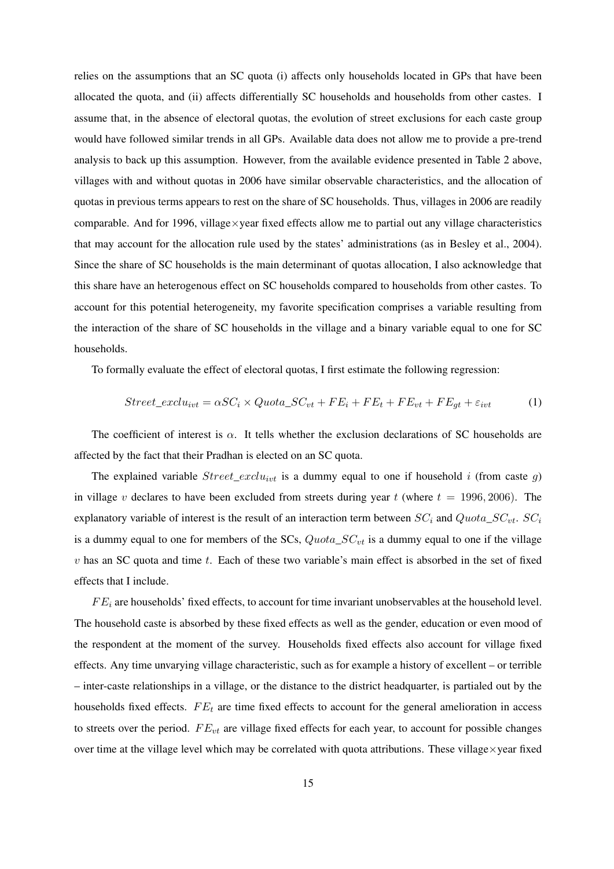relies on the assumptions that an SC quota (i) affects only households located in GPs that have been allocated the quota, and (ii) affects differentially SC households and households from other castes. I assume that, in the absence of electoral quotas, the evolution of street exclusions for each caste group would have followed similar trends in all GPs. Available data does not allow me to provide a pre-trend analysis to back up this assumption. However, from the available evidence presented in Table [2](#page-12-0) above, villages with and without quotas in 2006 have similar observable characteristics, and the allocation of quotas in previous terms appears to rest on the share of SC households. Thus, villages in 2006 are readily comparable. And for 1996, village $\times$ year fixed effects allow me to partial out any village characteristics that may account for the allocation rule used by the states' administrations (as in [Besley et al., 2004\)](#page-27-2). Since the share of SC households is the main determinant of quotas allocation, I also acknowledge that this share have an heterogenous effect on SC households compared to households from other castes. To account for this potential heterogeneity, my favorite specification comprises a variable resulting from the interaction of the share of SC households in the village and a binary variable equal to one for SC households.

To formally evaluate the effect of electoral quotas, I first estimate the following regression:

<span id="page-15-0"></span>
$$
Street\_exclu_{ivt} = \alpha SC_i \times Quota\_SC_{vt} + FE_i + FE_t + FE_{vt} + FE_{gt} + \varepsilon_{ivt}
$$
 (1)

The coefficient of interest is  $\alpha$ . It tells whether the exclusion declarations of SC households are affected by the fact that their Pradhan is elected on an SC quota.

The explained variable  $Street\_exclu_{ivt}$  is a dummy equal to one if household i (from caste g) in village v declares to have been excluded from streets during year t (where  $t = 1996, 2006$ ). The explanatory variable of interest is the result of an interaction term between  $SC_i$  and  $Quota\_SC_{vt}$ .  $SC_i$ is a dummy equal to one for members of the SCs,  $Quota\_SC_{vt}$  is a dummy equal to one if the village  $v$  has an SC quota and time  $t$ . Each of these two variable's main effect is absorbed in the set of fixed effects that I include.

 $FE_i$  are households' fixed effects, to account for time invariant unobservables at the household level. The household caste is absorbed by these fixed effects as well as the gender, education or even mood of the respondent at the moment of the survey. Households fixed effects also account for village fixed effects. Any time unvarying village characteristic, such as for example a history of excellent – or terrible – inter-caste relationships in a village, or the distance to the district headquarter, is partialed out by the households fixed effects.  $FE_t$  are time fixed effects to account for the general amelioration in access to streets over the period.  $FE_{vt}$  are village fixed effects for each year, to account for possible changes over time at the village level which may be correlated with quota attributions. These village×year fixed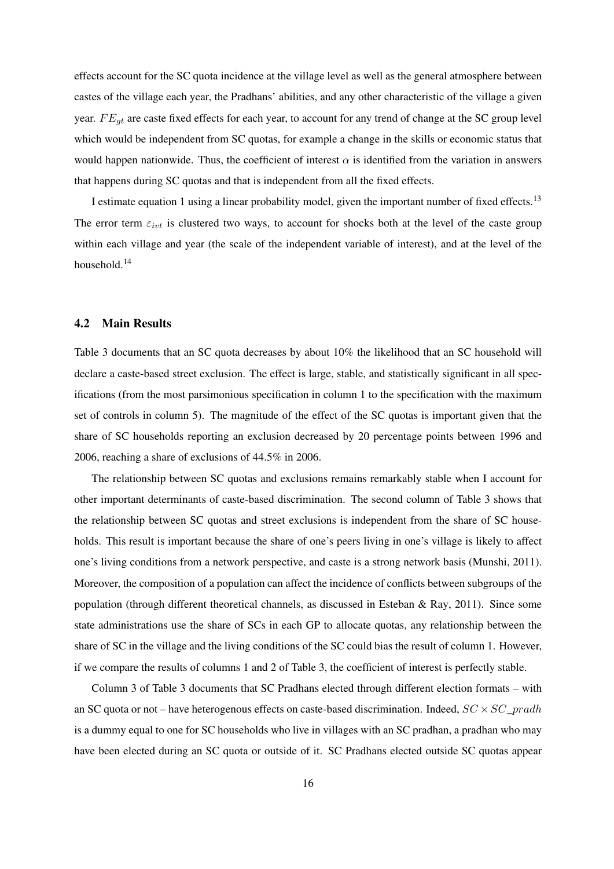effects account for the SC quota incidence at the village level as well as the general atmosphere between castes of the village each year, the Pradhans' abilities, and any other characteristic of the village a given year.  $FE_{qt}$  are caste fixed effects for each year, to account for any trend of change at the SC group level which would be independent from SC quotas, for example a change in the skills or economic status that would happen nationwide. Thus, the coefficient of interest  $\alpha$  is identified from the variation in answers that happens during SC quotas and that is independent from all the fixed effects.

I estimate equation [1](#page-15-0) using a linear probability model, given the important number of fixed effects.<sup>13</sup> The error term  $\varepsilon_{int}$  is clustered two ways, to account for shocks both at the level of the caste group within each village and year (the scale of the independent variable of interest), and at the level of the household.<sup>14</sup>

## 4.2 Main Results

Table [3](#page-17-0) documents that an SC quota decreases by about 10% the likelihood that an SC household will declare a caste-based street exclusion. The effect is large, stable, and statistically significant in all specifications (from the most parsimonious specification in column 1 to the specification with the maximum set of controls in column 5). The magnitude of the effect of the SC quotas is important given that the share of SC households reporting an exclusion decreased by 20 percentage points between 1996 and 2006, reaching a share of exclusions of 44.5% in 2006.

The relationship between SC quotas and exclusions remains remarkably stable when I account for other important determinants of caste-based discrimination. The second column of Table [3](#page-17-0) shows that the relationship between SC quotas and street exclusions is independent from the share of SC households. This result is important because the share of one's peers living in one's village is likely to affect one's living conditions from a network perspective, and caste is a strong network basis [\(Munshi, 2011\)](#page-30-2). Moreover, the composition of a population can affect the incidence of conflicts between subgroups of the population (through different theoretical channels, as discussed in [Esteban & Ray, 2011\)](#page-29-10). Since some state administrations use the share of SCs in each GP to allocate quotas, any relationship between the share of SC in the village and the living conditions of the SC could bias the result of column 1. However, if we compare the results of columns 1 and 2 of Table [3,](#page-17-0) the coefficient of interest is perfectly stable.

Column 3 of Table [3](#page-17-0) documents that SC Pradhans elected through different election formats – with an SC quota or not – have heterogenous effects on caste-based discrimination. Indeed,  $SC \times SC\_pradh$ is a dummy equal to one for SC households who live in villages with an SC pradhan, a pradhan who may have been elected during an SC quota or outside of it. SC Pradhans elected outside SC quotas appear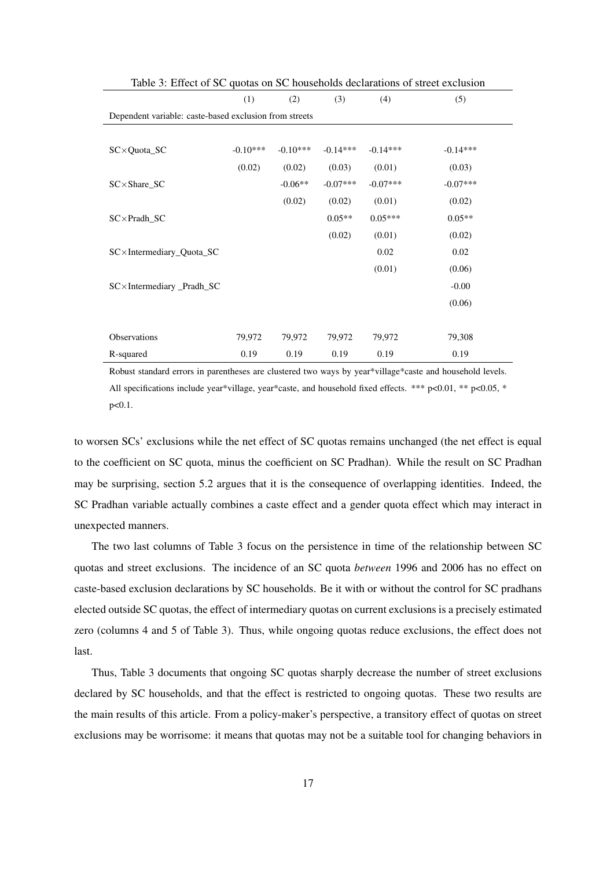<span id="page-17-0"></span>

| Table 3: Effect of SC quotas on SC households declarations of street exclusion |            |            |            |            |            |  |  |  |
|--------------------------------------------------------------------------------|------------|------------|------------|------------|------------|--|--|--|
|                                                                                | (1)        | (2)        | (3)        | (4)        | (5)        |  |  |  |
| Dependent variable: caste-based exclusion from streets                         |            |            |            |            |            |  |  |  |
|                                                                                |            |            |            |            |            |  |  |  |
| $SC \times Quota$ SC                                                           | $-0.10***$ | $-0.10***$ | $-0.14***$ | $-0.14***$ | $-0.14***$ |  |  |  |
|                                                                                | (0.02)     | (0.02)     | (0.03)     | (0.01)     | (0.03)     |  |  |  |
| SC×Share_SC                                                                    |            | $-0.06**$  | $-0.07***$ | $-0.07***$ | $-0.07***$ |  |  |  |
|                                                                                |            | (0.02)     | (0.02)     | (0.01)     | (0.02)     |  |  |  |
| $SC \times Pradh SC$                                                           |            |            | $0.05**$   | $0.05***$  | $0.05**$   |  |  |  |
|                                                                                |            |            | (0.02)     | (0.01)     | (0.02)     |  |  |  |
| SC×Intermediary_Quota_SC                                                       |            |            |            | 0.02       | 0.02       |  |  |  |
|                                                                                |            |            |            | (0.01)     | (0.06)     |  |  |  |
| $SC \times$ Intermediary Pradh SC                                              |            |            |            |            | $-0.00$    |  |  |  |
|                                                                                |            |            |            |            | (0.06)     |  |  |  |
|                                                                                |            |            |            |            |            |  |  |  |
| Observations                                                                   | 79,972     | 79,972     | 79,972     | 79,972     | 79,308     |  |  |  |
| R-squared                                                                      | 0.19       | 0.19       | 0.19       | 0.19       | 0.19       |  |  |  |

Robust standard errors in parentheses are clustered two ways by year\*village\*caste and household levels. All specifications include year\*village, year\*caste, and household fixed effects. \*\*\* p<0.01, \*\* p<0.05, \* p<0.1.

to worsen SCs' exclusions while the net effect of SC quotas remains unchanged (the net effect is equal to the coefficient on SC quota, minus the coefficient on SC Pradhan). While the result on SC Pradhan may be surprising, section [5.2](#page-23-0) argues that it is the consequence of overlapping identities. Indeed, the SC Pradhan variable actually combines a caste effect and a gender quota effect which may interact in unexpected manners.

The two last columns of Table [3](#page-17-0) focus on the persistence in time of the relationship between SC quotas and street exclusions. The incidence of an SC quota *between* 1996 and 2006 has no effect on caste-based exclusion declarations by SC households. Be it with or without the control for SC pradhans elected outside SC quotas, the effect of intermediary quotas on current exclusions is a precisely estimated zero (columns 4 and 5 of Table [3\)](#page-17-0). Thus, while ongoing quotas reduce exclusions, the effect does not last.

Thus, Table [3](#page-17-0) documents that ongoing SC quotas sharply decrease the number of street exclusions declared by SC households, and that the effect is restricted to ongoing quotas. These two results are the main results of this article. From a policy-maker's perspective, a transitory effect of quotas on street exclusions may be worrisome: it means that quotas may not be a suitable tool for changing behaviors in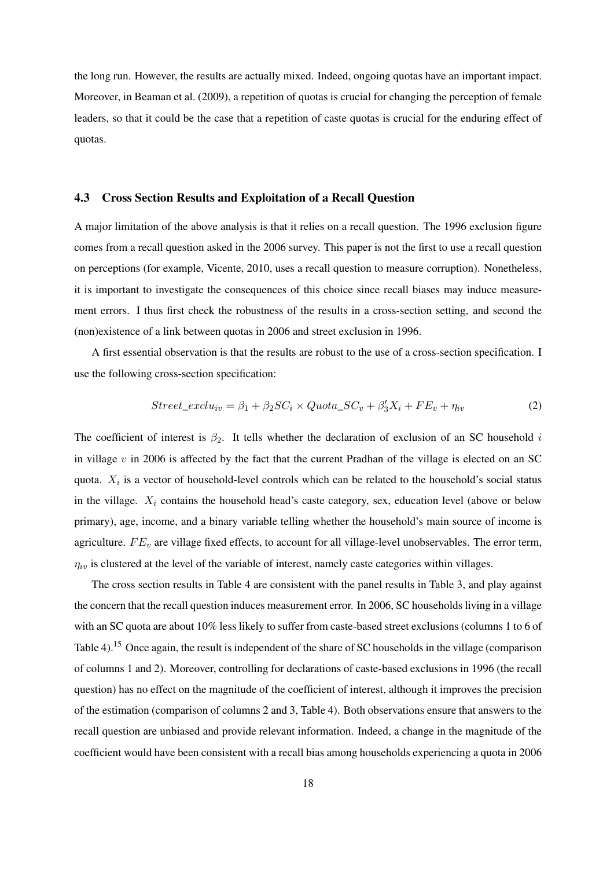the long run. However, the results are actually mixed. Indeed, ongoing quotas have an important impact. Moreover, in [Beaman et al.](#page-27-8) [\(2009\)](#page-27-8), a repetition of quotas is crucial for changing the perception of female leaders, so that it could be the case that a repetition of caste quotas is crucial for the enduring effect of quotas.

## <span id="page-18-0"></span>4.3 Cross Section Results and Exploitation of a Recall Question

A major limitation of the above analysis is that it relies on a recall question. The 1996 exclusion figure comes from a recall question asked in the 2006 survey. This paper is not the first to use a recall question on perceptions (for example, [Vicente, 2010,](#page-31-6) uses a recall question to measure corruption). Nonetheless, it is important to investigate the consequences of this choice since recall biases may induce measurement errors. I thus first check the robustness of the results in a cross-section setting, and second the (non)existence of a link between quotas in 2006 and street exclusion in 1996.

A first essential observation is that the results are robust to the use of a cross-section specification. I use the following cross-section specification:

<span id="page-18-1"></span>
$$
Street\_exclu_{iv} = \beta_1 + \beta_2 SC_i \times Quota\_SC_v + \beta'_3 X_i + FE_v + \eta_{iv}
$$
\n(2)

The coefficient of interest is  $\beta_2$ . It tells whether the declaration of exclusion of an SC household i in village  $v$  in 2006 is affected by the fact that the current Pradhan of the village is elected on an SC quota.  $X_i$  is a vector of household-level controls which can be related to the household's social status in the village.  $X_i$  contains the household head's caste category, sex, education level (above or below primary), age, income, and a binary variable telling whether the household's main source of income is agriculture.  $FE_v$  are village fixed effects, to account for all village-level unobservables. The error term,  $\eta_{iv}$  is clustered at the level of the variable of interest, namely caste categories within villages.

The cross section results in Table [4](#page-19-0) are consistent with the panel results in Table [3,](#page-17-0) and play against the concern that the recall question induces measurement error. In 2006, SC households living in a village with an SC quota are about 10% less likely to suffer from caste-based street exclusions (columns 1 to 6 of Table [4\)](#page-19-0).<sup>15</sup> Once again, the result is independent of the share of SC households in the village (comparison of columns 1 and 2). Moreover, controlling for declarations of caste-based exclusions in 1996 (the recall question) has no effect on the magnitude of the coefficient of interest, although it improves the precision of the estimation (comparison of columns 2 and 3, Table [4\)](#page-19-0). Both observations ensure that answers to the recall question are unbiased and provide relevant information. Indeed, a change in the magnitude of the coefficient would have been consistent with a recall bias among households experiencing a quota in 2006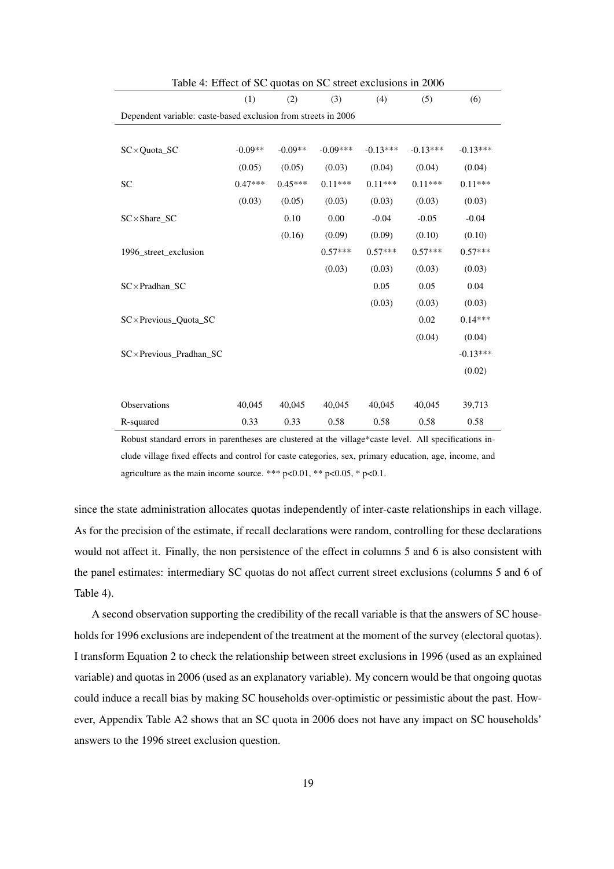<span id="page-19-0"></span>

| Table 4: Effect of SC quotas on SC street exclusions in 2006   |           |           |            |            |            |            |  |  |
|----------------------------------------------------------------|-----------|-----------|------------|------------|------------|------------|--|--|
|                                                                | (1)       | (2)       | (3)        | (4)        | (5)        | (6)        |  |  |
| Dependent variable: caste-based exclusion from streets in 2006 |           |           |            |            |            |            |  |  |
|                                                                |           |           |            |            |            |            |  |  |
| SC×Quota_SC                                                    | $-0.09**$ | $-0.09**$ | $-0.09***$ | $-0.13***$ | $-0.13***$ | $-0.13***$ |  |  |
|                                                                | (0.05)    | (0.05)    | (0.03)     | (0.04)     | (0.04)     | (0.04)     |  |  |
| <b>SC</b>                                                      | $0.47***$ | $0.45***$ | $0.11***$  | $0.11***$  | $0.11***$  | $0.11***$  |  |  |
|                                                                | (0.03)    | (0.05)    | (0.03)     | (0.03)     | (0.03)     | (0.03)     |  |  |
| SC×Share_SC                                                    |           | 0.10      | 0.00       | $-0.04$    | $-0.05$    | $-0.04$    |  |  |
|                                                                |           | (0.16)    | (0.09)     | (0.09)     | (0.10)     | (0.10)     |  |  |
| 1996 street exclusion                                          |           |           | $0.57***$  | $0.57***$  | $0.57***$  | $0.57***$  |  |  |
|                                                                |           |           | (0.03)     | (0.03)     | (0.03)     | (0.03)     |  |  |
| SC×Pradhan_SC                                                  |           |           |            | 0.05       | 0.05       | 0.04       |  |  |
|                                                                |           |           |            | (0.03)     | (0.03)     | (0.03)     |  |  |
| SC×Previous Quota SC                                           |           |           |            |            | 0.02       | $0.14***$  |  |  |
|                                                                |           |           |            |            | (0.04)     | (0.04)     |  |  |
| SC×Previous Pradhan SC                                         |           |           |            |            |            | $-0.13***$ |  |  |
|                                                                |           |           |            |            |            | (0.02)     |  |  |
|                                                                |           |           |            |            |            |            |  |  |
| Observations                                                   | 40,045    | 40,045    | 40,045     | 40,045     | 40,045     | 39,713     |  |  |
| R-squared                                                      | 0.33      | 0.33      | 0.58       | 0.58       | 0.58       | 0.58       |  |  |

Robust standard errors in parentheses are clustered at the village\*caste level. All specifications include village fixed effects and control for caste categories, sex, primary education, age, income, and agriculture as the main income source. \*\*\*  $p<0.01$ , \*\*  $p<0.05$ , \*  $p<0.1$ .

since the state administration allocates quotas independently of inter-caste relationships in each village. As for the precision of the estimate, if recall declarations were random, controlling for these declarations would not affect it. Finally, the non persistence of the effect in columns 5 and 6 is also consistent with the panel estimates: intermediary SC quotas do not affect current street exclusions (columns 5 and 6 of Table [4\)](#page-19-0).

A second observation supporting the credibility of the recall variable is that the answers of SC households for 1996 exclusions are independent of the treatment at the moment of the survey (electoral quotas). I transform Equation [2](#page-18-1) to check the relationship between street exclusions in 1996 (used as an explained variable) and quotas in 2006 (used as an explanatory variable). My concern would be that ongoing quotas could induce a recall bias by making SC households over-optimistic or pessimistic about the past. However, Appendix Table [A2](#page-12-0) shows that an SC quota in 2006 does not have any impact on SC households' answers to the 1996 street exclusion question.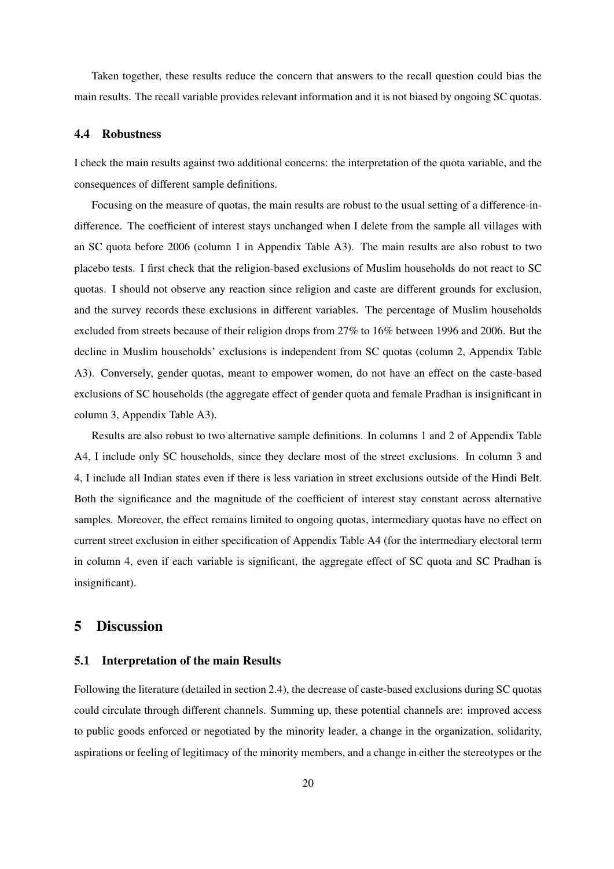Taken together, these results reduce the concern that answers to the recall question could bias the main results. The recall variable provides relevant information and it is not biased by ongoing SC quotas.

### 4.4 Robustness

I check the main results against two additional concerns: the interpretation of the quota variable, and the consequences of different sample definitions.

Focusing on the measure of quotas, the main results are robust to the usual setting of a difference-indifference. The coefficient of interest stays unchanged when I delete from the sample all villages with an SC quota before 2006 (column 1 in Appendix Table [A3\)](#page-17-0). The main results are also robust to two placebo tests. I first check that the religion-based exclusions of Muslim households do not react to SC quotas. I should not observe any reaction since religion and caste are different grounds for exclusion, and the survey records these exclusions in different variables. The percentage of Muslim households excluded from streets because of their religion drops from 27% to 16% between 1996 and 2006. But the decline in Muslim households' exclusions is independent from SC quotas (column 2, Appendix Table [A3\)](#page-17-0). Conversely, gender quotas, meant to empower women, do not have an effect on the caste-based exclusions of SC households (the aggregate effect of gender quota and female Pradhan is insignificant in column 3, Appendix Table [A3\)](#page-17-0).

Results are also robust to two alternative sample definitions. In columns 1 and 2 of Appendix Table [A4,](#page-19-0) I include only SC households, since they declare most of the street exclusions. In column 3 and 4, I include all Indian states even if there is less variation in street exclusions outside of the Hindi Belt. Both the significance and the magnitude of the coefficient of interest stay constant across alternative samples. Moreover, the effect remains limited to ongoing quotas, intermediary quotas have no effect on current street exclusion in either specification of Appendix Table [A4](#page-19-0) (for the intermediary electoral term in column 4, even if each variable is significant, the aggregate effect of SC quota and SC Pradhan is insignificant).

# 5 Discussion

## 5.1 Interpretation of the main Results

Following the literature (detailed in section [2.4\)](#page-8-0), the decrease of caste-based exclusions during SC quotas could circulate through different channels. Summing up, these potential channels are: improved access to public goods enforced or negotiated by the minority leader, a change in the organization, solidarity, aspirations or feeling of legitimacy of the minority members, and a change in either the stereotypes or the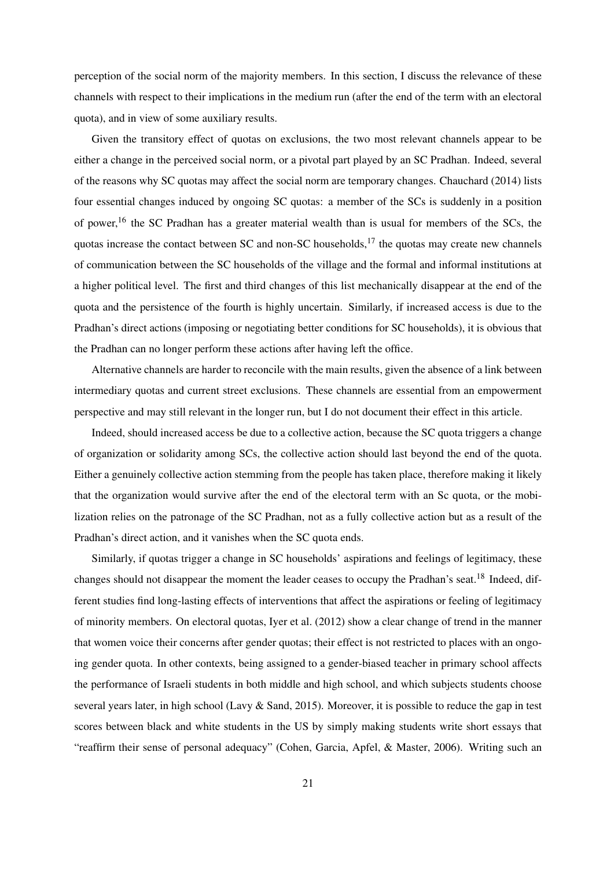perception of the social norm of the majority members. In this section, I discuss the relevance of these channels with respect to their implications in the medium run (after the end of the term with an electoral quota), and in view of some auxiliary results.

Given the transitory effect of quotas on exclusions, the two most relevant channels appear to be either a change in the perceived social norm, or a pivotal part played by an SC Pradhan. Indeed, several of the reasons why SC quotas may affect the social norm are temporary changes. [Chauchard](#page-28-0) [\(2014\)](#page-28-0) lists four essential changes induced by ongoing SC quotas: a member of the SCs is suddenly in a position of power,<sup>16</sup> the SC Pradhan has a greater material wealth than is usual for members of the SCs, the quotas increase the contact between SC and non-SC households, $^{17}$  the quotas may create new channels of communication between the SC households of the village and the formal and informal institutions at a higher political level. The first and third changes of this list mechanically disappear at the end of the quota and the persistence of the fourth is highly uncertain. Similarly, if increased access is due to the Pradhan's direct actions (imposing or negotiating better conditions for SC households), it is obvious that the Pradhan can no longer perform these actions after having left the office.

Alternative channels are harder to reconcile with the main results, given the absence of a link between intermediary quotas and current street exclusions. These channels are essential from an empowerment perspective and may still relevant in the longer run, but I do not document their effect in this article.

Indeed, should increased access be due to a collective action, because the SC quota triggers a change of organization or solidarity among SCs, the collective action should last beyond the end of the quota. Either a genuinely collective action stemming from the people has taken place, therefore making it likely that the organization would survive after the end of the electoral term with an Sc quota, or the mobilization relies on the patronage of the SC Pradhan, not as a fully collective action but as a result of the Pradhan's direct action, and it vanishes when the SC quota ends.

Similarly, if quotas trigger a change in SC households' aspirations and feelings of legitimacy, these changes should not disappear the moment the leader ceases to occupy the Pradhan's seat.<sup>18</sup> Indeed, different studies find long-lasting effects of interventions that affect the aspirations or feeling of legitimacy of minority members. On electoral quotas, [Iyer et al.](#page-29-2) [\(2012\)](#page-29-2) show a clear change of trend in the manner that women voice their concerns after gender quotas; their effect is not restricted to places with an ongoing gender quota. In other contexts, being assigned to a gender-biased teacher in primary school affects the performance of Israeli students in both middle and high school, and which subjects students choose several years later, in high school [\(Lavy & Sand, 2015\)](#page-30-7). Moreover, it is possible to reduce the gap in test scores between black and white students in the US by simply making students write short essays that "reaffirm their sense of personal adequacy" [\(Cohen, Garcia, Apfel, & Master, 2006\)](#page-28-4). Writing such an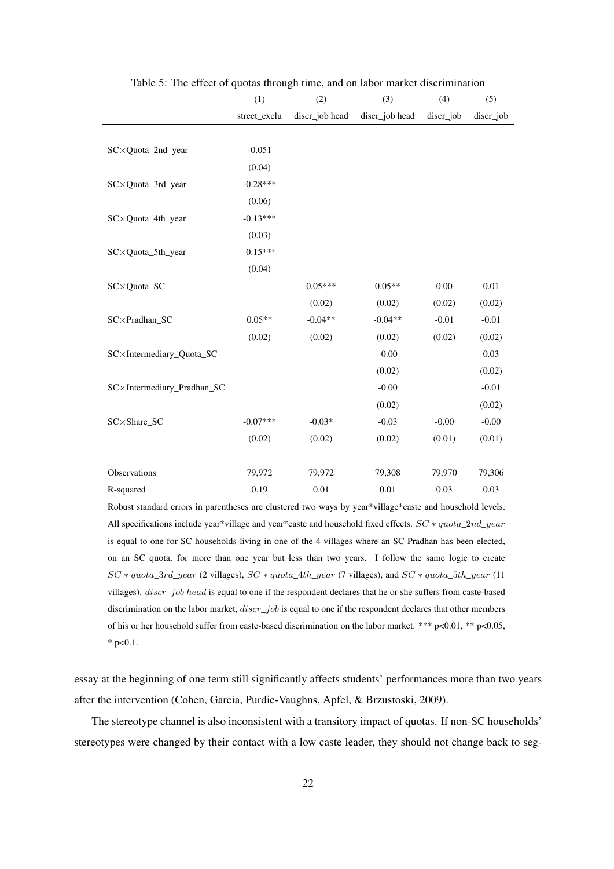<span id="page-22-0"></span>

|                            | (1)          | (2)            | (3)            | (4)       | (5)       |
|----------------------------|--------------|----------------|----------------|-----------|-----------|
|                            | street_exclu | discr_job head | discr_job head | discr_job | discr_job |
|                            |              |                |                |           |           |
| SC×Quota_2nd_year          | $-0.051$     |                |                |           |           |
|                            | (0.04)       |                |                |           |           |
| SC×Quota_3rd_year          | $-0.28***$   |                |                |           |           |
|                            | (0.06)       |                |                |           |           |
| SC×Quota_4th_year          | $-0.13***$   |                |                |           |           |
|                            | (0.03)       |                |                |           |           |
| SC×Quota_5th_year          | $-0.15***$   |                |                |           |           |
|                            | (0.04)       |                |                |           |           |
| SC×Quota_SC                |              | $0.05***$      | $0.05**$       | 0.00      | 0.01      |
|                            |              | (0.02)         | (0.02)         | (0.02)    | (0.02)    |
| $SC \times Pradhan_SC$     | $0.05**$     | $-0.04**$      | $-0.04**$      | $-0.01$   | $-0.01$   |
|                            | (0.02)       | (0.02)         | (0.02)         | (0.02)    | (0.02)    |
| SC×Intermediary_Quota_SC   |              |                | $-0.00$        |           | 0.03      |
|                            |              |                | (0.02)         |           | (0.02)    |
| SC×Intermediary_Pradhan_SC |              |                | $-0.00$        |           | $-0.01$   |
|                            |              |                | (0.02)         |           | (0.02)    |
| SC×Share_SC                | $-0.07***$   | $-0.03*$       | $-0.03$        | $-0.00$   | $-0.00$   |
|                            | (0.02)       | (0.02)         | (0.02)         | (0.01)    | (0.01)    |
|                            |              |                |                |           |           |
| Observations               | 79,972       | 79,972         | 79,308         | 79,970    | 79,306    |
| R-squared                  | 0.19         | 0.01           | $0.01\,$       | 0.03      | 0.03      |

Table 5: The effect of quotas through time, and on labor market discrimination

Robust standard errors in parentheses are clustered two ways by year\*village\*caste and household levels. All specifications include year\*village and year\*caste and household fixed effects.  $SC * quota\_2nd\_year$ is equal to one for SC households living in one of the 4 villages where an SC Pradhan has been elected, on an SC quota, for more than one year but less than two years. I follow the same logic to create  $SC * quota\_3rd\_year$  (2 villages),  $SC * quota\_4th\_year$  (7 villages), and  $SC * quota\_5th\_year$  (11 villages). discr\_job head is equal to one if the respondent declares that he or she suffers from caste-based discrimination on the labor market,  $discr\_job$  is equal to one if the respondent declares that other members of his or her household suffer from caste-based discrimination on the labor market. \*\*\*  $p<0.01$ , \*\*  $p<0.05$ , \*  $p<0.1$ .

essay at the beginning of one term still significantly affects students' performances more than two years after the intervention [\(Cohen, Garcia, Purdie-Vaughns, Apfel, & Brzustoski, 2009\)](#page-28-5).

The stereotype channel is also inconsistent with a transitory impact of quotas. If non-SC households' stereotypes were changed by their contact with a low caste leader, they should not change back to seg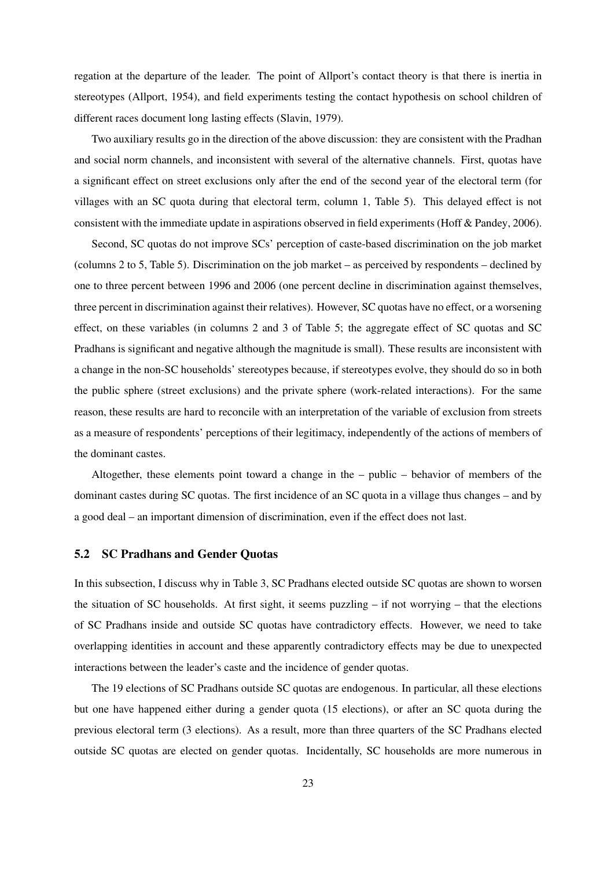regation at the departure of the leader. The point of [Allport'](#page-26-2)s contact theory is that there is inertia in stereotypes [\(Allport, 1954\)](#page-26-2), and field experiments testing the contact hypothesis on school children of different races document long lasting effects [\(Slavin, 1979\)](#page-31-7).

Two auxiliary results go in the direction of the above discussion: they are consistent with the Pradhan and social norm channels, and inconsistent with several of the alternative channels. First, quotas have a significant effect on street exclusions only after the end of the second year of the electoral term (for villages with an SC quota during that electoral term, column 1, Table [5\)](#page-22-0). This delayed effect is not consistent with the immediate update in aspirations observed in field experiments [\(Hoff & Pandey, 2006\)](#page-29-3).

Second, SC quotas do not improve SCs' perception of caste-based discrimination on the job market (columns 2 to 5, Table [5\)](#page-22-0). Discrimination on the job market – as perceived by respondents – declined by one to three percent between 1996 and 2006 (one percent decline in discrimination against themselves, three percent in discrimination against their relatives). However, SC quotas have no effect, or a worsening effect, on these variables (in columns 2 and 3 of Table [5;](#page-22-0) the aggregate effect of SC quotas and SC Pradhans is significant and negative although the magnitude is small). These results are inconsistent with a change in the non-SC households' stereotypes because, if stereotypes evolve, they should do so in both the public sphere (street exclusions) and the private sphere (work-related interactions). For the same reason, these results are hard to reconcile with an interpretation of the variable of exclusion from streets as a measure of respondents' perceptions of their legitimacy, independently of the actions of members of the dominant castes.

Altogether, these elements point toward a change in the – public – behavior of members of the dominant castes during SC quotas. The first incidence of an SC quota in a village thus changes – and by a good deal – an important dimension of discrimination, even if the effect does not last.

#### <span id="page-23-0"></span>5.2 SC Pradhans and Gender Quotas

In this subsection, I discuss why in Table [3,](#page-17-0) SC Pradhans elected outside SC quotas are shown to worsen the situation of SC households. At first sight, it seems puzzling  $-$  if not worrying  $-$  that the elections of SC Pradhans inside and outside SC quotas have contradictory effects. However, we need to take overlapping identities in account and these apparently contradictory effects may be due to unexpected interactions between the leader's caste and the incidence of gender quotas.

The 19 elections of SC Pradhans outside SC quotas are endogenous. In particular, all these elections but one have happened either during a gender quota (15 elections), or after an SC quota during the previous electoral term (3 elections). As a result, more than three quarters of the SC Pradhans elected outside SC quotas are elected on gender quotas. Incidentally, SC households are more numerous in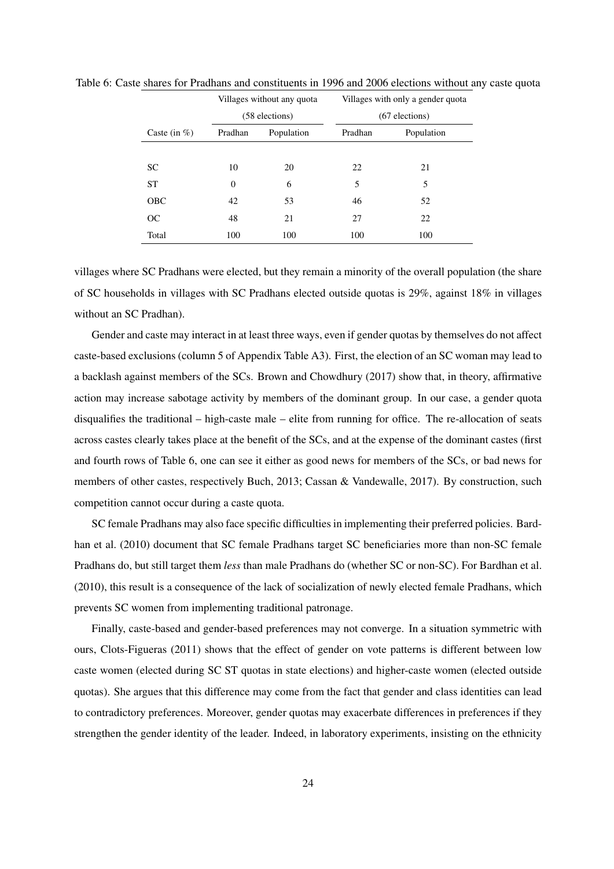|                  |                | Villages without any quota | Villages with only a gender quota |                  |  |  |
|------------------|----------------|----------------------------|-----------------------------------|------------------|--|--|
|                  |                | (58 elections)             |                                   | $(67$ elections) |  |  |
| Caste (in $\%$ ) | Pradhan        | Population                 | Pradhan                           | Population       |  |  |
|                  |                |                            |                                   |                  |  |  |
| <b>SC</b>        | 10             | 20                         | 22                                | 21               |  |  |
| <b>ST</b>        | $\overline{0}$ | 6                          | 5                                 | 5                |  |  |
| <b>OBC</b>       | 42             | 53                         | 46                                | 52               |  |  |
| OC               | 48             | 21                         | 27                                | 22               |  |  |
| Total            | 100            | 100                        | 100                               | 100              |  |  |

<span id="page-24-0"></span>Table 6: Caste shares for Pradhans and constituents in 1996 and 2006 elections without any caste quota

villages where SC Pradhans were elected, but they remain a minority of the overall population (the share of SC households in villages with SC Pradhans elected outside quotas is 29%, against 18% in villages without an SC Pradhan).

Gender and caste may interact in at least three ways, even if gender quotas by themselves do not affect caste-based exclusions (column 5 of Appendix Table [A3\)](#page-17-0). First, the election of an SC woman may lead to a backlash against members of the SCs. [Brown and Chowdhury](#page-28-6) [\(2017\)](#page-28-6) show that, in theory, affirmative action may increase sabotage activity by members of the dominant group. In our case, a gender quota disqualifies the traditional – high-caste male – elite from running for office. The re-allocation of seats across castes clearly takes place at the benefit of the SCs, and at the expense of the dominant castes (first and fourth rows of Table [6,](#page-24-0) one can see it either as good news for members of the SCs, or bad news for members of other castes, respectively [Buch, 2013;](#page-28-7) [Cassan & Vandewalle, 2017\)](#page-28-8). By construction, such competition cannot occur during a caste quota.

SC female Pradhans may also face specific difficulties in implementing their preferred policies. [Bard](#page-27-6)[han et al.](#page-27-6) [\(2010\)](#page-27-6) document that SC female Pradhans target SC beneficiaries more than non-SC female Pradhans do, but still target them *less* than male Pradhans do (whether SC or non-SC). For [Bardhan et al.](#page-27-6) [\(2010\)](#page-27-6), this result is a consequence of the lack of socialization of newly elected female Pradhans, which prevents SC women from implementing traditional patronage.

Finally, caste-based and gender-based preferences may not converge. In a situation symmetric with ours, [Clots-Figueras](#page-28-9) [\(2011\)](#page-28-9) shows that the effect of gender on vote patterns is different between low caste women (elected during SC ST quotas in state elections) and higher-caste women (elected outside quotas). She argues that this difference may come from the fact that gender and class identities can lead to contradictory preferences. Moreover, gender quotas may exacerbate differences in preferences if they strengthen the gender identity of the leader. Indeed, in laboratory experiments, insisting on the ethnicity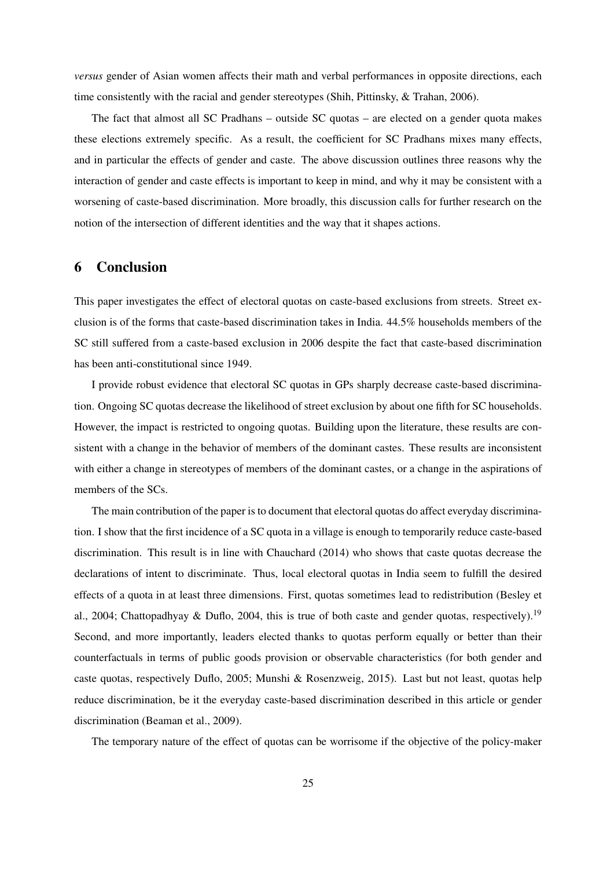*versus* gender of Asian women affects their math and verbal performances in opposite directions, each time consistently with the racial and gender stereotypes [\(Shih, Pittinsky, & Trahan, 2006\)](#page-31-8).

The fact that almost all SC Pradhans – outside SC quotas – are elected on a gender quota makes these elections extremely specific. As a result, the coefficient for SC Pradhans mixes many effects, and in particular the effects of gender and caste. The above discussion outlines three reasons why the interaction of gender and caste effects is important to keep in mind, and why it may be consistent with a worsening of caste-based discrimination. More broadly, this discussion calls for further research on the notion of the intersection of different identities and the way that it shapes actions.

# 6 Conclusion

This paper investigates the effect of electoral quotas on caste-based exclusions from streets. Street exclusion is of the forms that caste-based discrimination takes in India. 44.5% households members of the SC still suffered from a caste-based exclusion in 2006 despite the fact that caste-based discrimination has been anti-constitutional since 1949.

I provide robust evidence that electoral SC quotas in GPs sharply decrease caste-based discrimination. Ongoing SC quotas decrease the likelihood of street exclusion by about one fifth for SC households. However, the impact is restricted to ongoing quotas. Building upon the literature, these results are consistent with a change in the behavior of members of the dominant castes. These results are inconsistent with either a change in stereotypes of members of the dominant castes, or a change in the aspirations of members of the SCs.

The main contribution of the paper is to document that electoral quotas do affect everyday discrimination. I show that the first incidence of a SC quota in a village is enough to temporarily reduce caste-based discrimination. This result is in line with [Chauchard](#page-28-0) [\(2014\)](#page-28-0) who shows that caste quotas decrease the declarations of intent to discriminate. Thus, local electoral quotas in India seem to fulfill the desired effects of a quota in at least three dimensions. First, quotas sometimes lead to redistribution [\(Besley et](#page-27-2) [al., 2004;](#page-27-2) [Chattopadhyay & Duflo, 2004,](#page-28-10) this is true of both caste and gender quotas, respectively).<sup>19</sup> Second, and more importantly, leaders elected thanks to quotas perform equally or better than their counterfactuals in terms of public goods provision or observable characteristics (for both gender and caste quotas, respectively [Duflo, 2005;](#page-29-11) [Munshi & Rosenzweig, 2015\)](#page-30-8). Last but not least, quotas help reduce discrimination, be it the everyday caste-based discrimination described in this article or gender discrimination [\(Beaman et al., 2009\)](#page-27-8).

The temporary nature of the effect of quotas can be worrisome if the objective of the policy-maker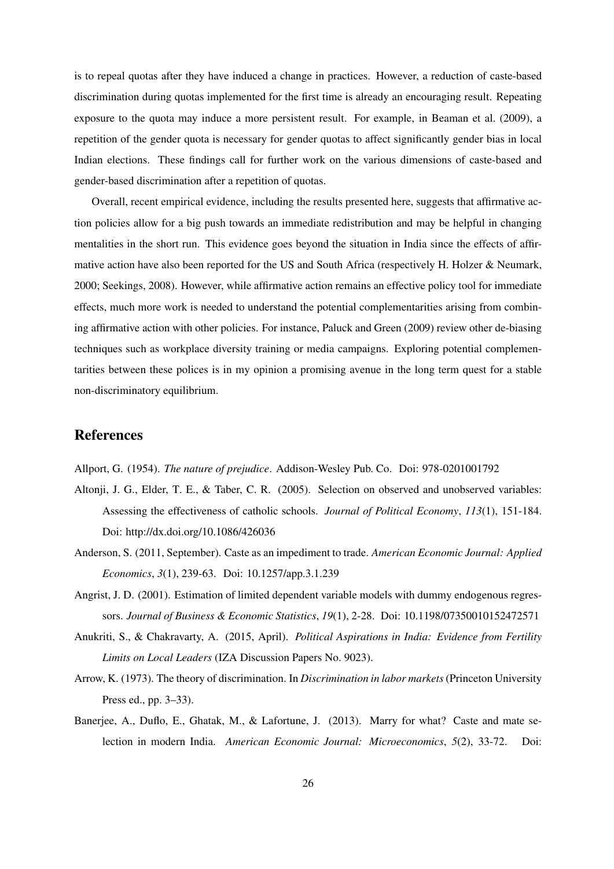is to repeal quotas after they have induced a change in practices. However, a reduction of caste-based discrimination during quotas implemented for the first time is already an encouraging result. Repeating exposure to the quota may induce a more persistent result. For example, in [Beaman et al.](#page-27-8) [\(2009\)](#page-27-8), a repetition of the gender quota is necessary for gender quotas to affect significantly gender bias in local Indian elections. These findings call for further work on the various dimensions of caste-based and gender-based discrimination after a repetition of quotas.

Overall, recent empirical evidence, including the results presented here, suggests that affirmative action policies allow for a big push towards an immediate redistribution and may be helpful in changing mentalities in the short run. This evidence goes beyond the situation in India since the effects of affirmative action have also been reported for the US and South Africa (respectively [H. Holzer & Neumark,](#page-29-12) [2000;](#page-29-12) [Seekings, 2008\)](#page-31-9). However, while affirmative action remains an effective policy tool for immediate effects, much more work is needed to understand the potential complementarities arising from combining affirmative action with other policies. For instance, [Paluck and Green](#page-30-9) [\(2009\)](#page-30-9) review other de-biasing techniques such as workplace diversity training or media campaigns. Exploring potential complementarities between these polices is in my opinion a promising avenue in the long term quest for a stable non-discriminatory equilibrium.

## References

<span id="page-26-6"></span><span id="page-26-2"></span>Allport, G. (1954). *The nature of prejudice*. Addison-Wesley Pub. Co. Doi: 978-0201001792

- Altonji, J. G., Elder, T. E., & Taber, C. R. (2005). Selection on observed and unobserved variables: Assessing the effectiveness of catholic schools. *Journal of Political Economy*, *113*(1), 151-184. Doi: http://dx.doi.org/10.1086/426036
- <span id="page-26-1"></span>Anderson, S. (2011, September). Caste as an impediment to trade. *American Economic Journal: Applied Economics*, *3*(1), 239-63. Doi: 10.1257/app.3.1.239
- <span id="page-26-5"></span>Angrist, J. D. (2001). Estimation of limited dependent variable models with dummy endogenous regressors. *Journal of Business & Economic Statistics*, *19*(1), 2-28. Doi: 10.1198/07350010152472571
- <span id="page-26-4"></span>Anukriti, S., & Chakravarty, A. (2015, April). *Political Aspirations in India: Evidence from Fertility Limits on Local Leaders* (IZA Discussion Papers No. 9023).
- <span id="page-26-3"></span>Arrow, K. (1973). The theory of discrimination. In *Discrimination in labor markets*(Princeton University Press ed., pp. 3–33).
- <span id="page-26-0"></span>Banerjee, A., Duflo, E., Ghatak, M., & Lafortune, J. (2013). Marry for what? Caste and mate selection in modern India. *American Economic Journal: Microeconomics*, *5*(2), 33-72. Doi: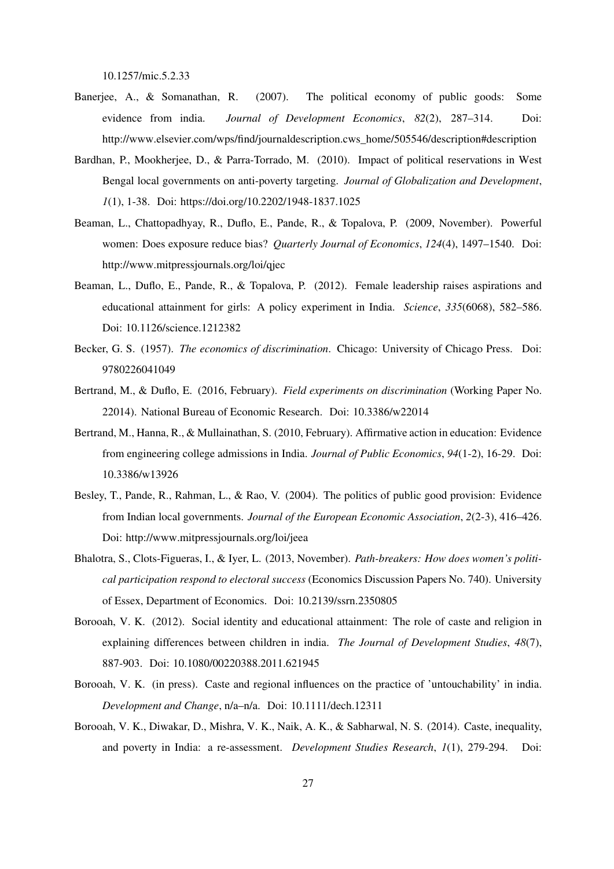10.1257/mic.5.2.33

- <span id="page-27-4"></span>Banerjee, A., & Somanathan, R. (2007). The political economy of public goods: Some evidence from india. *Journal of Development Economics*, *82*(2), 287–314. Doi: http://www.elsevier.com/wps/find/journaldescription.cws\_home/505546/description#description
- <span id="page-27-6"></span>Bardhan, P., Mookherjee, D., & Parra-Torrado, M. (2010). Impact of political reservations in West Bengal local governments on anti-poverty targeting. *Journal of Globalization and Development*, *1*(1), 1-38. Doi: https://doi.org/10.2202/1948-1837.1025
- <span id="page-27-8"></span>Beaman, L., Chattopadhyay, R., Duflo, E., Pande, R., & Topalova, P. (2009, November). Powerful women: Does exposure reduce bias? *Quarterly Journal of Economics*, *124*(4), 1497–1540. Doi: http://www.mitpressjournals.org/loi/qjec
- <span id="page-27-7"></span>Beaman, L., Duflo, E., Pande, R., & Topalova, P. (2012). Female leadership raises aspirations and educational attainment for girls: A policy experiment in India. *Science*, *335*(6068), 582–586. Doi: 10.1126/science.1212382
- <span id="page-27-1"></span>Becker, G. S. (1957). *The economics of discrimination*. Chicago: University of Chicago Press. Doi: 9780226041049
- <span id="page-27-0"></span>Bertrand, M., & Duflo, E. (2016, February). *Field experiments on discrimination* (Working Paper No. 22014). National Bureau of Economic Research. Doi: 10.3386/w22014
- <span id="page-27-10"></span>Bertrand, M., Hanna, R., & Mullainathan, S. (2010, February). Affirmative action in education: Evidence from engineering college admissions in India. *Journal of Public Economics*, *94*(1-2), 16-29. Doi: 10.3386/w13926
- <span id="page-27-2"></span>Besley, T., Pande, R., Rahman, L., & Rao, V. (2004). The politics of public good provision: Evidence from Indian local governments. *Journal of the European Economic Association*, *2*(2-3), 416–426. Doi: http://www.mitpressjournals.org/loi/jeea
- <span id="page-27-3"></span>Bhalotra, S., Clots-Figueras, I., & Iyer, L. (2013, November). *Path-breakers: How does women's political participation respond to electoral success* (Economics Discussion Papers No. 740). University of Essex, Department of Economics. Doi: 10.2139/ssrn.2350805
- <span id="page-27-11"></span>Borooah, V. K. (2012). Social identity and educational attainment: The role of caste and religion in explaining differences between children in india. *The Journal of Development Studies*, *48*(7), 887-903. Doi: 10.1080/00220388.2011.621945
- <span id="page-27-9"></span>Borooah, V. K. (in press). Caste and regional influences on the practice of 'untouchability' in india. *Development and Change*, n/a–n/a. Doi: 10.1111/dech.12311
- <span id="page-27-5"></span>Borooah, V. K., Diwakar, D., Mishra, V. K., Naik, A. K., & Sabharwal, N. S. (2014). Caste, inequality, and poverty in India: a re-assessment. *Development Studies Research*, *1*(1), 279-294. Doi: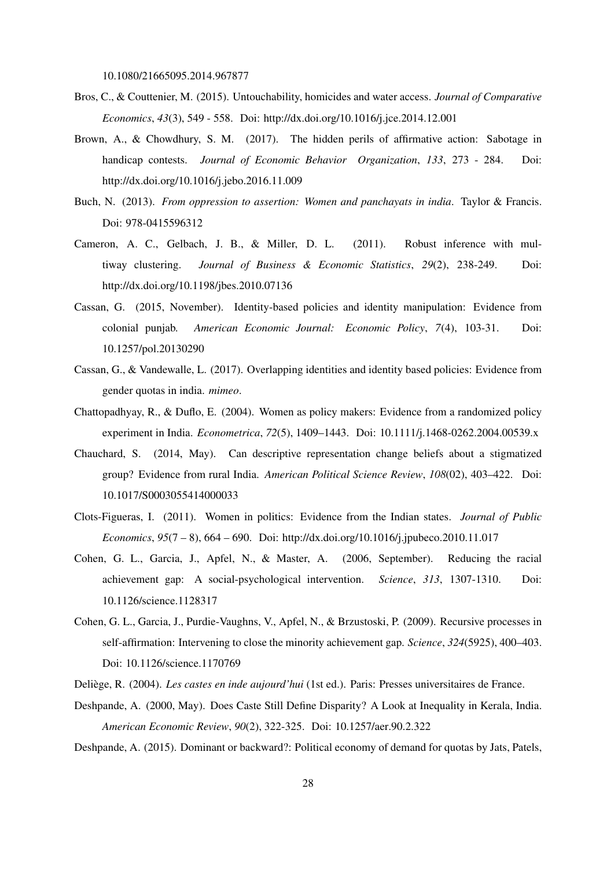10.1080/21665095.2014.967877

- <span id="page-28-3"></span>Bros, C., & Couttenier, M. (2015). Untouchability, homicides and water access. *Journal of Comparative Economics*, *43*(3), 549 - 558. Doi: http://dx.doi.org/10.1016/j.jce.2014.12.001
- <span id="page-28-6"></span>Brown, A., & Chowdhury, S. M. (2017). The hidden perils of affirmative action: Sabotage in handicap contests. *Journal of Economic Behavior Organization*, *133*, 273 - 284. Doi: http://dx.doi.org/10.1016/j.jebo.2016.11.009
- <span id="page-28-7"></span>Buch, N. (2013). *From oppression to assertion: Women and panchayats in india*. Taylor & Francis. Doi: 978-0415596312
- <span id="page-28-13"></span>Cameron, A. C., Gelbach, J. B., & Miller, D. L. (2011). Robust inference with multiway clustering. *Journal of Business & Economic Statistics*, *29*(2), 238-249. Doi: http://dx.doi.org/10.1198/jbes.2010.07136
- <span id="page-28-11"></span>Cassan, G. (2015, November). Identity-based policies and identity manipulation: Evidence from colonial punjab. *American Economic Journal: Economic Policy*, *7*(4), 103-31. Doi: 10.1257/pol.20130290
- <span id="page-28-8"></span>Cassan, G., & Vandewalle, L. (2017). Overlapping identities and identity based policies: Evidence from gender quotas in india. *mimeo*.
- <span id="page-28-10"></span>Chattopadhyay, R., & Duflo, E. (2004). Women as policy makers: Evidence from a randomized policy experiment in India. *Econometrica*, *72*(5), 1409–1443. Doi: 10.1111/j.1468-0262.2004.00539.x
- <span id="page-28-0"></span>Chauchard, S. (2014, May). Can descriptive representation change beliefs about a stigmatized group? Evidence from rural India. *American Political Science Review*, *108*(02), 403–422. Doi: 10.1017/S0003055414000033
- <span id="page-28-9"></span>Clots-Figueras, I. (2011). Women in politics: Evidence from the Indian states. *Journal of Public Economics*, *95*(7 – 8), 664 – 690. Doi: http://dx.doi.org/10.1016/j.jpubeco.2010.11.017
- <span id="page-28-4"></span>Cohen, G. L., Garcia, J., Apfel, N., & Master, A. (2006, September). Reducing the racial achievement gap: A social-psychological intervention. *Science*, *313*, 1307-1310. Doi: 10.1126/science.1128317
- <span id="page-28-5"></span>Cohen, G. L., Garcia, J., Purdie-Vaughns, V., Apfel, N., & Brzustoski, P. (2009). Recursive processes in self-affirmation: Intervening to close the minority achievement gap. *Science*, *324*(5925), 400–403. Doi: 10.1126/science.1170769
- <span id="page-28-2"></span><span id="page-28-1"></span>Deliège, R. (2004). *Les castes en inde aujourd'hui* (1st ed.). Paris: Presses universitaires de France.
- Deshpande, A. (2000, May). Does Caste Still Define Disparity? A Look at Inequality in Kerala, India. *American Economic Review*, *90*(2), 322-325. Doi: 10.1257/aer.90.2.322
- <span id="page-28-12"></span>Deshpande, A. (2015). Dominant or backward?: Political economy of demand for quotas by Jats, Patels,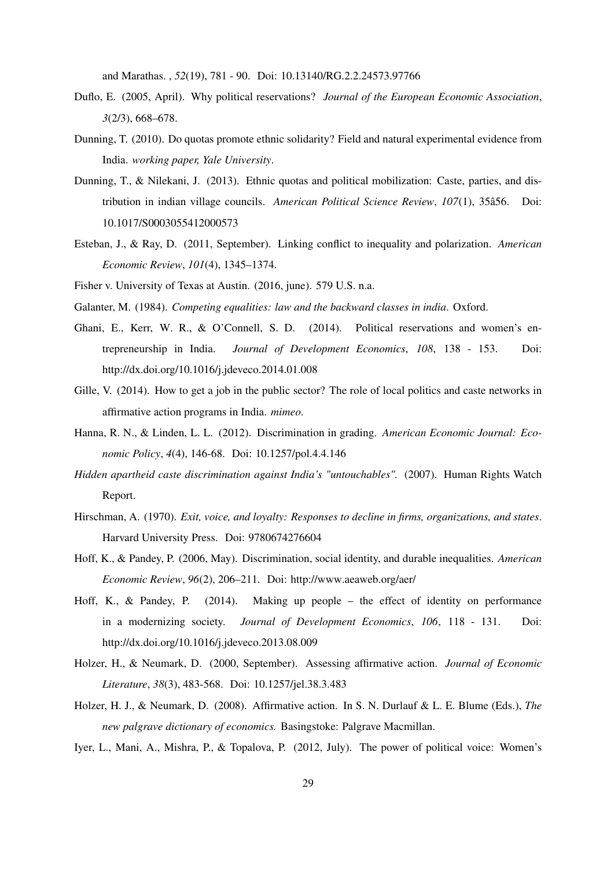and Marathas. , *52*(19), 781 - 90. Doi: 10.13140/RG.2.2.24573.97766

- <span id="page-29-11"></span>Duflo, E. (2005, April). Why political reservations? *Journal of the European Economic Association*, *3*(2/3), 668–678.
- <span id="page-29-1"></span>Dunning, T. (2010). Do quotas promote ethnic solidarity? Field and natural experimental evidence from India. *working paper, Yale University*.
- <span id="page-29-15"></span>Dunning, T., & Nilekani, J. (2013). Ethnic quotas and political mobilization: Caste, parties, and distribution in indian village councils. *American Political Science Review*, *107*(1), 35â56. Doi: 10.1017/S0003055412000573
- <span id="page-29-10"></span>Esteban, J., & Ray, D. (2011, September). Linking conflict to inequality and polarization. *American Economic Review*, *101*(4), 1345–1374.
- <span id="page-29-14"></span><span id="page-29-0"></span>Fisher v. University of Texas at Austin. (2016, june). 579 U.S. n.a.
- <span id="page-29-9"></span>Galanter, M. (1984). *Competing equalities: law and the backward classes in india*. Oxford.
- Ghani, E., Kerr, W. R., & O'Connell, S. D. (2014). Political reservations and women's entrepreneurship in India. *Journal of Development Economics*, *108*, 138 - 153. Doi: http://dx.doi.org/10.1016/j.jdeveco.2014.01.008
- <span id="page-29-7"></span>Gille, V. (2014). How to get a job in the public sector? The role of local politics and caste networks in affirmative action programs in India. *mimeo*.
- <span id="page-29-5"></span>Hanna, R. N., & Linden, L. L. (2012). Discrimination in grading. *American Economic Journal: Economic Policy*, *4*(4), 146-68. Doi: 10.1257/pol.4.4.146
- <span id="page-29-6"></span>*Hidden apartheid caste discrimination against India's "untouchables".* (2007). Human Rights Watch Report.
- <span id="page-29-8"></span>Hirschman, A. (1970). *Exit, voice, and loyalty: Responses to decline in firms, organizations, and states*. Harvard University Press. Doi: 9780674276604
- <span id="page-29-3"></span>Hoff, K., & Pandey, P. (2006, May). Discrimination, social identity, and durable inequalities. *American Economic Review*, *96*(2), 206–211. Doi: http://www.aeaweb.org/aer/
- <span id="page-29-4"></span>Hoff, K., & Pandey, P. (2014). Making up people – the effect of identity on performance in a modernizing society. *Journal of Development Economics*, *106*, 118 - 131. Doi: http://dx.doi.org/10.1016/j.jdeveco.2013.08.009
- <span id="page-29-12"></span>Holzer, H., & Neumark, D. (2000, September). Assessing affirmative action. *Journal of Economic Literature*, *38*(3), 483-568. Doi: 10.1257/jel.38.3.483
- <span id="page-29-13"></span>Holzer, H. J., & Neumark, D. (2008). Affirmative action. In S. N. Durlauf & L. E. Blume (Eds.), *The new palgrave dictionary of economics.* Basingstoke: Palgrave Macmillan.
- <span id="page-29-2"></span>Iyer, L., Mani, A., Mishra, P., & Topalova, P. (2012, July). The power of political voice: Women's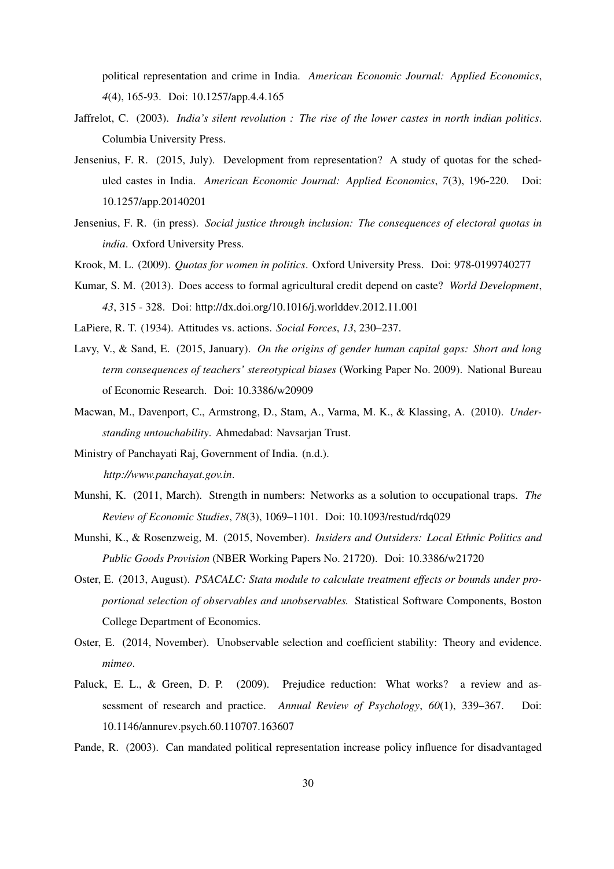political representation and crime in India. *American Economic Journal: Applied Economics*, *4*(4), 165-93. Doi: 10.1257/app.4.4.165

- <span id="page-30-6"></span>Jaffrelot, C. (2003). *India's silent revolution : The rise of the lower castes in north indian politics*. Columbia University Press.
- <span id="page-30-10"></span>Jensenius, F. R. (2015, July). Development from representation? A study of quotas for the scheduled castes in India. *American Economic Journal: Applied Economics*, *7*(3), 196-220. Doi: 10.1257/app.20140201
- <span id="page-30-14"></span>Jensenius, F. R. (in press). *Social justice through inclusion: The consequences of electoral quotas in india*. Oxford University Press.
- <span id="page-30-3"></span><span id="page-30-0"></span>Krook, M. L. (2009). *Quotas for women in politics*. Oxford University Press. Doi: 978-0199740277
- Kumar, S. M. (2013). Does access to formal agricultural credit depend on caste? *World Development*, *43*, 315 - 328. Doi: http://dx.doi.org/10.1016/j.worlddev.2012.11.001
- <span id="page-30-7"></span><span id="page-30-1"></span>LaPiere, R. T. (1934). Attitudes vs. actions. *Social Forces*, *13*, 230–237.
- Lavy, V., & Sand, E. (2015, January). *On the origins of gender human capital gaps: Short and long term consequences of teachers' stereotypical biases* (Working Paper No. 2009). National Bureau of Economic Research. Doi: 10.3386/w20909
- <span id="page-30-4"></span>Macwan, M., Davenport, C., Armstrong, D., Stam, A., Varma, M. K., & Klassing, A. (2010). *Understanding untouchability*. Ahmedabad: Navsarjan Trust.
- <span id="page-30-5"></span>Ministry of Panchayati Raj, Government of India. (n.d.). *http://www.panchayat.gov.in*.
- <span id="page-30-2"></span>Munshi, K. (2011, March). Strength in numbers: Networks as a solution to occupational traps. *The Review of Economic Studies*, *78*(3), 1069–1101. Doi: 10.1093/restud/rdq029
- <span id="page-30-8"></span>Munshi, K., & Rosenzweig, M. (2015, November). *Insiders and Outsiders: Local Ethnic Politics and Public Goods Provision* (NBER Working Papers No. 21720). Doi: 10.3386/w21720
- <span id="page-30-12"></span>Oster, E. (2013, August). *PSACALC: Stata module to calculate treatment effects or bounds under proportional selection of observables and unobservables.* Statistical Software Components, Boston College Department of Economics.
- <span id="page-30-13"></span>Oster, E. (2014, November). Unobservable selection and coefficient stability: Theory and evidence. *mimeo*.
- <span id="page-30-9"></span>Paluck, E. L., & Green, D. P. (2009). Prejudice reduction: What works? a review and assessment of research and practice. *Annual Review of Psychology*, *60*(1), 339–367. Doi: 10.1146/annurev.psych.60.110707.163607
- <span id="page-30-11"></span>Pande, R. (2003). Can mandated political representation increase policy influence for disadvantaged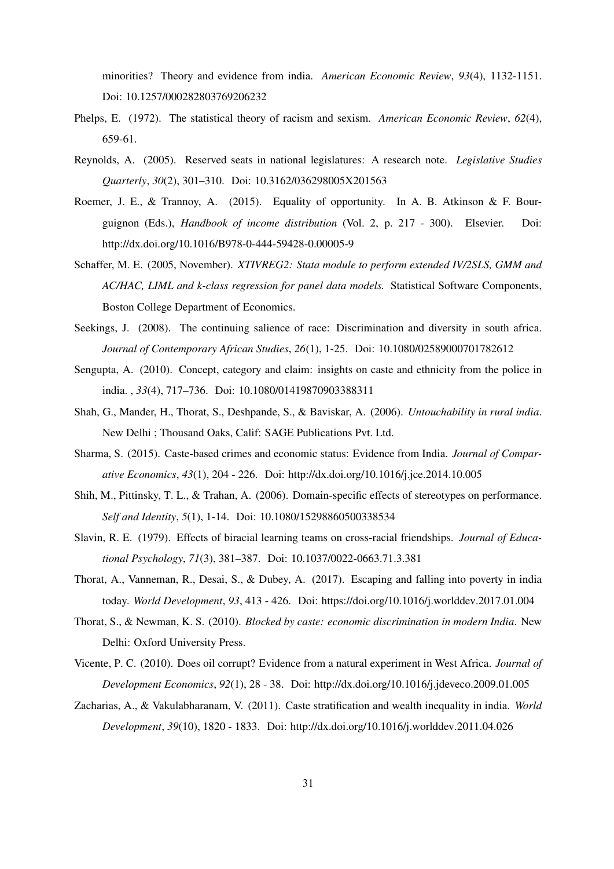minorities? Theory and evidence from india. *American Economic Review*, *93*(4), 1132-1151. Doi: 10.1257/000282803769206232

- <span id="page-31-10"></span>Phelps, E. (1972). The statistical theory of racism and sexism. *American Economic Review*, *62*(4), 659-61.
- <span id="page-31-0"></span>Reynolds, A. (2005). Reserved seats in national legislatures: A research note. *Legislative Studies Quarterly*, *30*(2), 301–310. Doi: 10.3162/036298005X201563
- <span id="page-31-11"></span>Roemer, J. E., & Trannoy, A. (2015). Equality of opportunity. In A. B. Atkinson & F. Bourguignon (Eds.), *Handbook of income distribution* (Vol. 2, p. 217 - 300). Elsevier. Doi: http://dx.doi.org/10.1016/B978-0-444-59428-0.00005-9
- <span id="page-31-13"></span>Schaffer, M. E. (2005, November). *XTIVREG2: Stata module to perform extended IV/2SLS, GMM and AC/HAC, LIML and k-class regression for panel data models.* Statistical Software Components, Boston College Department of Economics.
- <span id="page-31-9"></span>Seekings, J. (2008). The continuing salience of race: Discrimination and diversity in south africa. *Journal of Contemporary African Studies*, *26*(1), 1-25. Doi: 10.1080/02589000701782612
- <span id="page-31-12"></span>Sengupta, A. (2010). Concept, category and claim: insights on caste and ethnicity from the police in india. , *33*(4), 717–736. Doi: 10.1080/01419870903388311
- <span id="page-31-4"></span>Shah, G., Mander, H., Thorat, S., Deshpande, S., & Baviskar, A. (2006). *Untouchability in rural india*. New Delhi ; Thousand Oaks, Calif: SAGE Publications Pvt. Ltd.
- <span id="page-31-5"></span>Sharma, S. (2015). Caste-based crimes and economic status: Evidence from India. *Journal of Comparative Economics*, *43*(1), 204 - 226. Doi: http://dx.doi.org/10.1016/j.jce.2014.10.005
- <span id="page-31-8"></span>Shih, M., Pittinsky, T. L., & Trahan, A. (2006). Domain-specific effects of stereotypes on performance. *Self and Identity*, *5*(1), 1-14. Doi: 10.1080/15298860500338534
- <span id="page-31-7"></span>Slavin, R. E. (1979). Effects of biracial learning teams on cross-racial friendships. *Journal of Educational Psychology*, *71*(3), 381–387. Doi: 10.1037/0022-0663.71.3.381
- <span id="page-31-1"></span>Thorat, A., Vanneman, R., Desai, S., & Dubey, A. (2017). Escaping and falling into poverty in india today. *World Development*, *93*, 413 - 426. Doi: https://doi.org/10.1016/j.worlddev.2017.01.004
- <span id="page-31-3"></span>Thorat, S., & Newman, K. S. (2010). *Blocked by caste: economic discrimination in modern India*. New Delhi: Oxford University Press.
- <span id="page-31-6"></span>Vicente, P. C. (2010). Does oil corrupt? Evidence from a natural experiment in West Africa. *Journal of Development Economics*, *92*(1), 28 - 38. Doi: http://dx.doi.org/10.1016/j.jdeveco.2009.01.005
- <span id="page-31-2"></span>Zacharias, A., & Vakulabharanam, V. (2011). Caste stratification and wealth inequality in india. *World Development*, *39*(10), 1820 - 1833. Doi: http://dx.doi.org/10.1016/j.worlddev.2011.04.026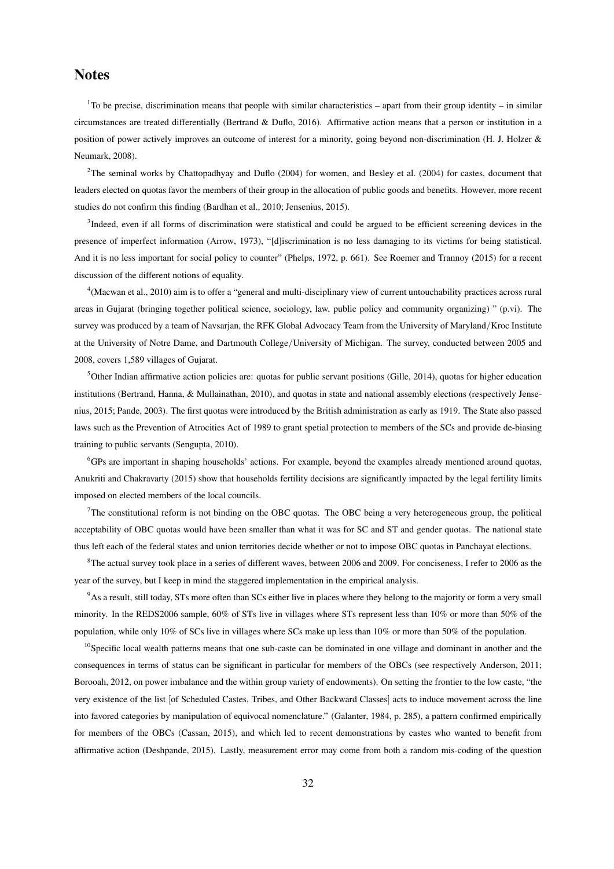## Notes

<sup>1</sup>To be precise, discrimination means that people with similar characteristics – apart from their group identity – in similar circumstances are treated differentially [\(Bertrand & Duflo, 2016\)](#page-27-0). Affirmative action means that a person or institution in a position of power actively improves an outcome of interest for a minority, going beyond non-discrimination [\(H. J. Holzer &](#page-29-13) [Neumark, 2008\)](#page-29-13).

 $2$ The seminal works by [Chattopadhyay and Duflo](#page-28-10) [\(2004\)](#page-27-2) for women, and [Besley et al.](#page-27-2) (2004) for castes, document that leaders elected on quotas favor the members of their group in the allocation of public goods and benefits. However, more recent studies do not confirm this finding [\(Bardhan et al., 2010;](#page-27-6) [Jensenius, 2015\)](#page-30-10).

<sup>3</sup>Indeed, even if all forms of discrimination were statistical and could be argued to be efficient screening devices in the presence of imperfect information [\(Arrow, 1973\)](#page-26-3), "[d]iscrimination is no less damaging to its victims for being statistical. And it is no less important for social policy to counter" [\(Phelps, 1972,](#page-31-10) p. 661). See [Roemer and Trannoy](#page-31-11) [\(2015\)](#page-31-11) for a recent discussion of the different notions of equality.

4 [\(Macwan et al., 2010\)](#page-30-4) aim is to offer a "general and multi-disciplinary view of current untouchability practices across rural areas in Gujarat (bringing together political science, sociology, law, public policy and community organizing) " (p.vi). The survey was produced by a team of Navsarjan, the RFK Global Advocacy Team from the University of Maryland/Kroc Institute at the University of Notre Dame, and Dartmouth College/University of Michigan. The survey, conducted between 2005 and 2008, covers 1,589 villages of Gujarat.

<sup>5</sup>Other Indian affirmative action policies are: quotas for public servant positions [\(Gille, 2014\)](#page-29-7), quotas for higher education institutions [\(Bertrand, Hanna, & Mullainathan, 2010\)](#page-27-10), and quotas in state and national assembly elections (respectively [Jense](#page-30-10)[nius, 2015;](#page-30-10) [Pande, 2003\)](#page-30-11). The first quotas were introduced by the British administration as early as 1919. The State also passed laws such as the Prevention of Atrocities Act of 1989 to grant spetial protection to members of the SCs and provide de-biasing training to public servants [\(Sengupta, 2010\)](#page-31-12).

<sup>6</sup>GPs are important in shaping households' actions. For example, beyond the examples already mentioned around quotas, [Anukriti and Chakravarty](#page-26-4) [\(2015\)](#page-26-4) show that households fertility decisions are significantly impacted by the legal fertility limits imposed on elected members of the local councils.

 $7$ The constitutional reform is not binding on the OBC quotas. The OBC being a very heterogeneous group, the political acceptability of OBC quotas would have been smaller than what it was for SC and ST and gender quotas. The national state thus left each of the federal states and union territories decide whether or not to impose OBC quotas in Panchayat elections.

<sup>8</sup>The actual survey took place in a series of different waves, between 2006 and 2009. For conciseness, I refer to 2006 as the year of the survey, but I keep in mind the staggered implementation in the empirical analysis.

<sup>9</sup>As a result, still today, STs more often than SCs either live in places where they belong to the majority or form a very small minority. In the REDS2006 sample, 60% of STs live in villages where STs represent less than 10% or more than 50% of the population, while only 10% of SCs live in villages where SCs make up less than 10% or more than 50% of the population.

 $10$ Specific local wealth patterns means that one sub-caste can be dominated in one village and dominant in another and the consequences in terms of status can be significant in particular for members of the OBCs (see respectively [Anderson, 2011;](#page-26-1) [Borooah, 2012,](#page-27-11) on power imbalance and the within group variety of endowments). On setting the frontier to the low caste, "the very existence of the list [of Scheduled Castes, Tribes, and Other Backward Classes] acts to induce movement across the line into favored categories by manipulation of equivocal nomenclature." [\(Galanter, 1984,](#page-29-14) p. 285), a pattern confirmed empirically for members of the OBCs [\(Cassan, 2015\)](#page-28-11), and which led to recent demonstrations by castes who wanted to benefit from affirmative action [\(Deshpande, 2015\)](#page-28-12). Lastly, measurement error may come from both a random mis-coding of the question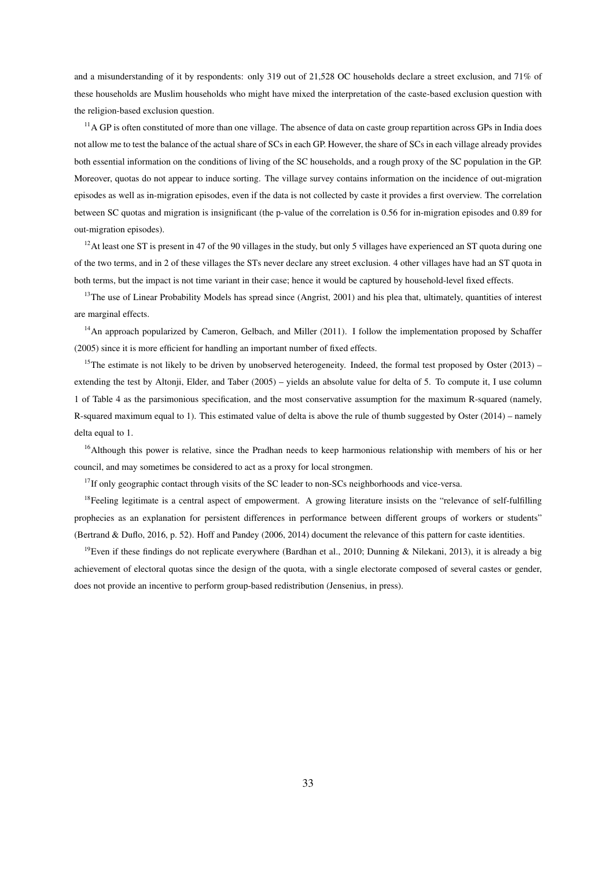and a misunderstanding of it by respondents: only 319 out of 21,528 OC households declare a street exclusion, and 71% of these households are Muslim households who might have mixed the interpretation of the caste-based exclusion question with the religion-based exclusion question.

 $<sup>11</sup>$  GP is often constituted of more than one village. The absence of data on caste group repartition across GPs in India does</sup> not allow me to test the balance of the actual share of SCs in each GP. However, the share of SCs in each village already provides both essential information on the conditions of living of the SC households, and a rough proxy of the SC population in the GP. Moreover, quotas do not appear to induce sorting. The village survey contains information on the incidence of out-migration episodes as well as in-migration episodes, even if the data is not collected by caste it provides a first overview. The correlation between SC quotas and migration is insignificant (the p-value of the correlation is 0.56 for in-migration episodes and 0.89 for out-migration episodes).

 $12$ At least one ST is present in 47 of the 90 villages in the study, but only 5 villages have experienced an ST quota during one of the two terms, and in 2 of these villages the STs never declare any street exclusion. 4 other villages have had an ST quota in both terms, but the impact is not time variant in their case; hence it would be captured by household-level fixed effects.

<sup>13</sup>The use of Linear Probability Models has spread since [\(Angrist, 2001\)](#page-26-5) and his plea that, ultimately, quantities of interest are marginal effects.

<sup>14</sup>An approach popularized by [Cameron, Gelbach, and Miller](#page-28-13) [\(2011\)](#page-28-13). I follow the implementation proposed by [Schaffer](#page-31-13) [\(2005\)](#page-31-13) since it is more efficient for handling an important number of fixed effects.

<sup>15</sup>The estimate is not likely to be driven by unobserved heterogeneity. Indeed, the formal test proposed by [Oster](#page-30-12) [\(2013\)](#page-30-12) – extending the test by [Altonji, Elder, and Taber](#page-26-6) [\(2005\)](#page-26-6) – yields an absolute value for delta of 5. To compute it, I use column 1 of Table [4](#page-19-0) as the parsimonious specification, and the most conservative assumption for the maximum R-squared (namely, R-squared maximum equal to 1). This estimated value of delta is above the rule of thumb suggested by [Oster](#page-30-13) [\(2014\)](#page-30-13) – namely delta equal to 1.

<sup>16</sup>Although this power is relative, since the Pradhan needs to keep harmonious relationship with members of his or her council, and may sometimes be considered to act as a proxy for local strongmen.

 $17$ If only geographic contact through visits of the SC leader to non-SCs neighborhoods and vice-versa.

 $18$ Feeling legitimate is a central aspect of empowerment. A growing literature insists on the "relevance of self-fulfilling prophecies as an explanation for persistent differences in performance between different groups of workers or students" [\(Bertrand & Duflo, 2016,](#page-27-0) p. 52). [Hoff and Pandey](#page-29-3) [\(2006,](#page-29-3) [2014\)](#page-29-4) document the relevance of this pattern for caste identities.

<sup>19</sup>Even if these findings do not replicate everywhere [\(Bardhan et al., 2010;](#page-27-6) [Dunning & Nilekani, 2013\)](#page-29-15), it is already a big achievement of electoral quotas since the design of the quota, with a single electorate composed of several castes or gender, does not provide an incentive to perform group-based redistribution [\(Jensenius, in press\)](#page-30-14).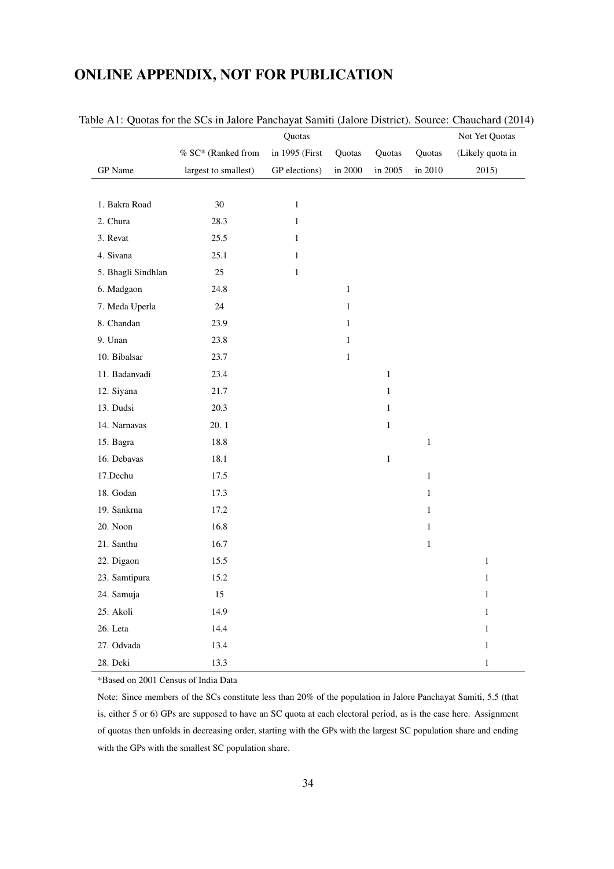# ONLINE APPENDIX, NOT FOR PUBLICATION

|                    |                      | Quotas         |              |              |              | Not Yet Quotas   |
|--------------------|----------------------|----------------|--------------|--------------|--------------|------------------|
|                    | % SC* (Ranked from   | in 1995 (First | Quotas       | Quotas       | Quotas       | (Likely quota in |
| GP Name            | largest to smallest) | GP elections)  | in 2000      | in 2005      | in 2010      | 2015)            |
|                    |                      |                |              |              |              |                  |
| 1. Bakra Road      | 30                   | $\,1$          |              |              |              |                  |
| 2. Chura           | 28.3                 | $\mathbf{1}$   |              |              |              |                  |
| 3. Revat           | 25.5                 | $\mathbf{1}$   |              |              |              |                  |
| 4. Sivana          | 25.1                 | $\mathbf{1}$   |              |              |              |                  |
| 5. Bhagli Sindhlan | 25                   | $\,1$          |              |              |              |                  |
| 6. Madgaon         | 24.8                 |                | $\mathbf{1}$ |              |              |                  |
| 7. Meda Uperla     | 24                   |                | $\mathbf{1}$ |              |              |                  |
| 8. Chandan         | 23.9                 |                | $\,1$        |              |              |                  |
| 9. Unan            | 23.8                 |                | $\mathbf{1}$ |              |              |                  |
| 10. Bibalsar       | 23.7                 |                | $\mathbf{1}$ |              |              |                  |
| 11. Badanvadi      | 23.4                 |                |              | $\mathbf{1}$ |              |                  |
| 12. Siyana         | 21.7                 |                |              | $\mathbf 1$  |              |                  |
| 13. Dudsi          | 20.3                 |                |              | $\mathbf{1}$ |              |                  |
| 14. Narnavas       | 20.1                 |                |              | $\mathbf{1}$ |              |                  |
| 15. Bagra          | 18.8                 |                |              |              | $\mathbf{1}$ |                  |
| 16. Debavas        | $18.1\,$             |                |              | $\,1\,$      |              |                  |
| 17.Dechu           | 17.5                 |                |              |              | $\mathbf{1}$ |                  |
| 18. Godan          | 17.3                 |                |              |              | $\mathbf{1}$ |                  |
| 19. Sankrna        | 17.2                 |                |              |              | $\mathbf{1}$ |                  |
| 20. Noon           | 16.8                 |                |              |              | $\mathbf{1}$ |                  |
| 21. Santhu         | 16.7                 |                |              |              | $\mathbf{1}$ |                  |
| 22. Digaon         | 15.5                 |                |              |              |              | $\,1\,$          |
| 23. Samtipura      | 15.2                 |                |              |              |              | $\mathbf{1}$     |
| 24. Samuja         | 15                   |                |              |              |              | $\mathbf{1}$     |
| 25. Akoli          | 14.9                 |                |              |              |              | $\mathbf{1}$     |
| 26. Leta           | 14.4                 |                |              |              |              | $\mathbf{1}$     |
| 27. Odvada         | 13.4                 |                |              |              |              | $\mathbf{1}$     |
| 28. Deki           | 13.3                 |                |              |              |              | $\mathbf{1}$     |

Table A1: Quotas for the SCs in Jalore Panchayat Samiti (Jalore District). Source: [Chauchard](#page-28-0) [\(2014\)](#page-28-0)

\*Based on 2001 Census of India Data

Note: Since members of the SCs constitute less than 20% of the population in Jalore Panchayat Samiti, 5.5 (that is, either 5 or 6) GPs are supposed to have an SC quota at each electoral period, as is the case here. Assignment of quotas then unfolds in decreasing order, starting with the GPs with the largest SC population share and ending with the GPs with the smallest SC population share.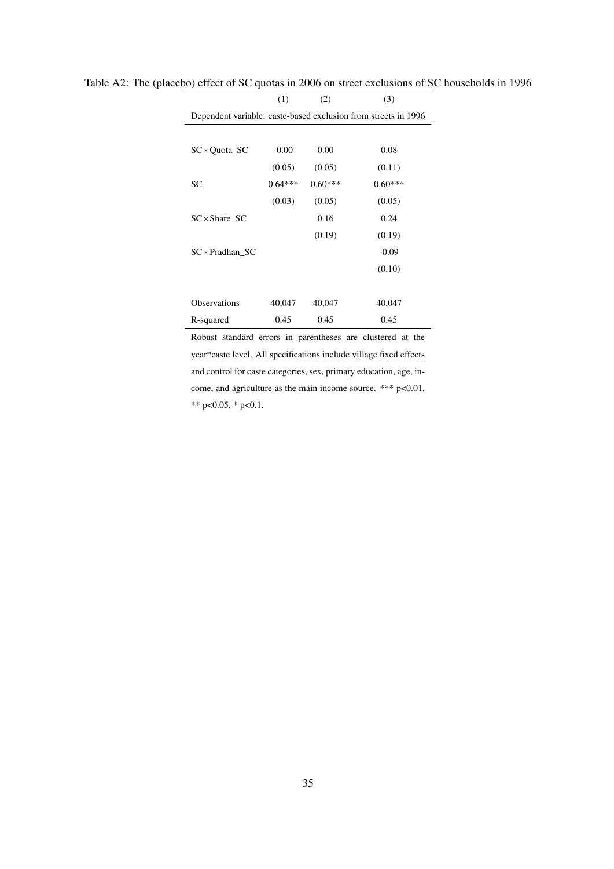| Dependent variable: caste-based exclusion from streets in 1996 |           |           |           |  |  |
|----------------------------------------------------------------|-----------|-----------|-----------|--|--|
|                                                                |           |           |           |  |  |
| $SC \times Quota$ SC                                           | $-0.00$   | 0.00      | 0.08      |  |  |
|                                                                | (0.05)    | (0.05)    | (0.11)    |  |  |
| SC                                                             | $0.64***$ | $0.60***$ | $0.60***$ |  |  |
|                                                                | (0.03)    | (0.05)    | (0.05)    |  |  |
| $SC \times$ Share_SC                                           |           | 0.16      | 0.24      |  |  |
|                                                                |           | (0.19)    | (0.19)    |  |  |
| $SC \times Pradhan SC$                                         |           |           | $-0.09$   |  |  |
|                                                                |           |           | (0.10)    |  |  |
|                                                                |           |           |           |  |  |
| <b>Observations</b>                                            | 40,047    | 40,047    | 40,047    |  |  |
| R-squared                                                      | 0.45      | 0.45      | 0.45      |  |  |

Table A2: The (placebo) effect of SC quotas in 2006 on street exclusions of SC households in 1996

(1)  $(2)$   $(3)$ 

Robust standard errors in parentheses are clustered at the year\*caste level. All specifications include village fixed effects and control for caste categories, sex, primary education, age, income, and agriculture as the main income source. \*\*\* p<0.01, \*\* p<0.05, \* p<0.1.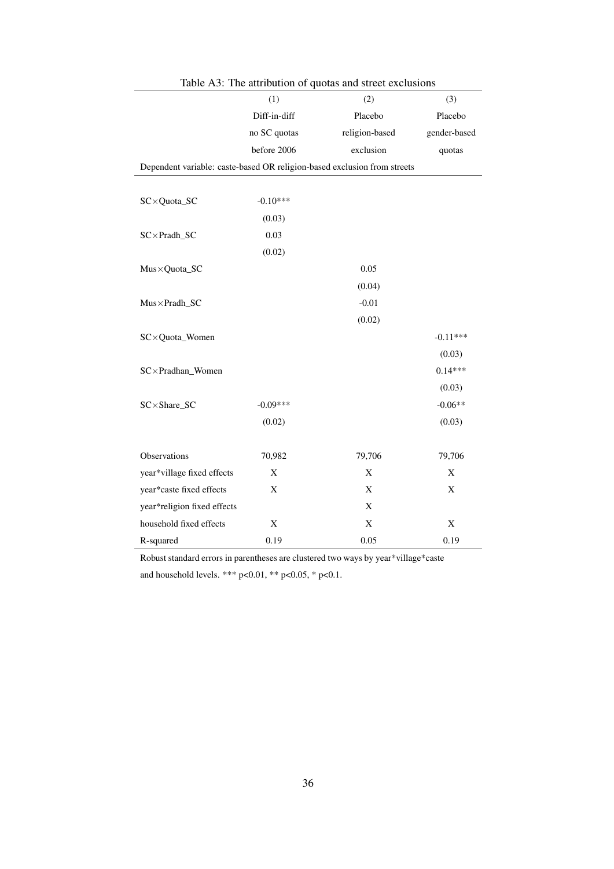|                                                                          | (1)          | (2)            | (3)          |
|--------------------------------------------------------------------------|--------------|----------------|--------------|
|                                                                          | Diff-in-diff | Placebo        | Placebo      |
|                                                                          | no SC quotas | religion-based | gender-based |
|                                                                          | before 2006  | exclusion      | quotas       |
| Dependent variable: caste-based OR religion-based exclusion from streets |              |                |              |
|                                                                          |              |                |              |
| SC×Quota_SC                                                              | $-0.10***$   |                |              |
|                                                                          | (0.03)       |                |              |
| $SC \times Pradh_S$ C                                                    | 0.03         |                |              |
|                                                                          | (0.02)       |                |              |
| Mus×Quota_SC                                                             |              | 0.05           |              |
|                                                                          |              | (0.04)         |              |
| Mus×Pradh_SC                                                             |              | $-0.01$        |              |
|                                                                          |              | (0.02)         |              |
| SC×Quota_Women                                                           |              |                | $-0.11***$   |
|                                                                          |              |                | (0.03)       |
| SC×Pradhan_Women                                                         |              |                | $0.14***$    |
|                                                                          |              |                | (0.03)       |
| SC×Share_SC                                                              | $-0.09***$   |                | $-0.06**$    |
|                                                                          | (0.02)       |                | (0.03)       |
| Observations                                                             | 70,982       | 79,706         | 79,706       |
| year*village fixed effects                                               | X            | X              | X            |
| year*caste fixed effects                                                 | X            | X              | $\mathbf X$  |
| year*religion fixed effects                                              |              | $\mathbf X$    |              |
| household fixed effects                                                  | X            | $\mathbf X$    | X            |
| R-squared                                                                | 0.19         | 0.05           | 0.19         |

Robust standard errors in parentheses are clustered two ways by year\*village\*caste and household levels. \*\*\* p<0.01, \*\* p<0.05, \* p<0.1.